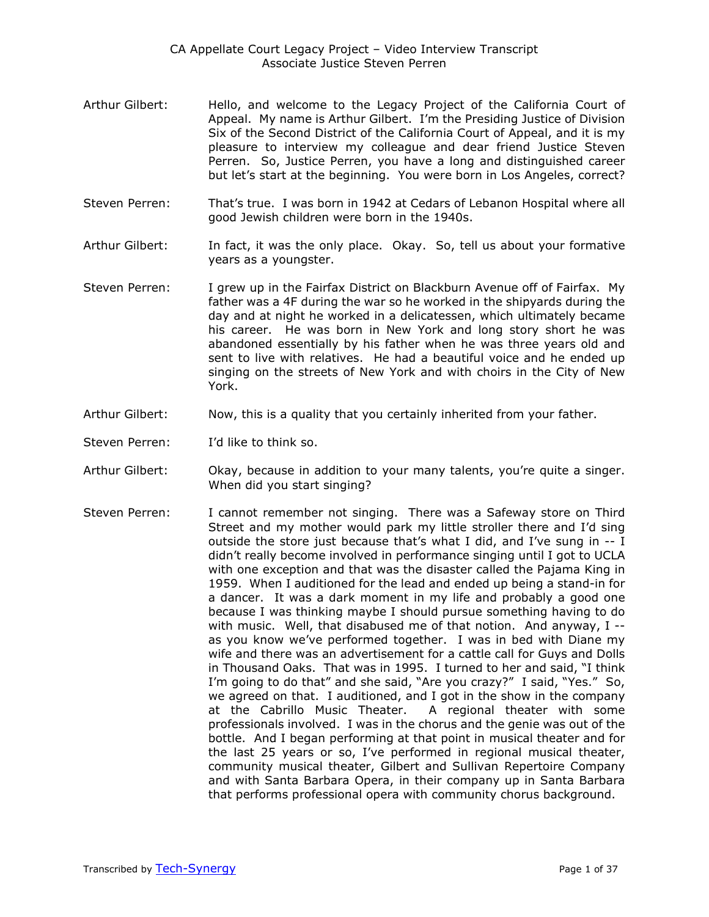- Arthur Gilbert: Hello, and welcome to the Legacy Project of the California Court of Appeal. My name is Arthur Gilbert. I'm the Presiding Justice of Division Six of the Second District of the California Court of Appeal, and it is my pleasure to interview my colleague and dear friend Justice Steven Perren. So, Justice Perren, you have a long and distinguished career but let's start at the beginning. You were born in Los Angeles, correct?
- Steven Perren: That's true. I was born in 1942 at Cedars of Lebanon Hospital where all good Jewish children were born in the 1940s.
- Arthur Gilbert: In fact, it was the only place. Okay. So, tell us about your formative years as a youngster.
- Steven Perren: I grew up in the Fairfax District on Blackburn Avenue off of Fairfax. My father was a 4F during the war so he worked in the shipyards during the day and at night he worked in a delicatessen, which ultimately became his career. He was born in New York and long story short he was abandoned essentially by his father when he was three years old and sent to live with relatives. He had a beautiful voice and he ended up singing on the streets of New York and with choirs in the City of New York.
- Arthur Gilbert: Now, this is a quality that you certainly inherited from your father.
- Steven Perren: I'd like to think so.
- Arthur Gilbert: Okay, because in addition to your many talents, you're quite a singer. When did you start singing?
- Steven Perren: I cannot remember not singing. There was a Safeway store on Third Street and my mother would park my little stroller there and I'd sing outside the store just because that's what I did, and I've sung in -- I didn't really become involved in performance singing until I got to UCLA with one exception and that was the disaster called the Pajama King in 1959. When I auditioned for the lead and ended up being a stand-in for a dancer. It was a dark moment in my life and probably a good one because I was thinking maybe I should pursue something having to do with music. Well, that disabused me of that notion. And anyway, I - as you know we've performed together. I was in bed with Diane my wife and there was an advertisement for a cattle call for Guys and Dolls in Thousand Oaks. That was in 1995. I turned to her and said, "I think I'm going to do that" and she said, "Are you crazy?" I said, "Yes." So, we agreed on that. I auditioned, and I got in the show in the company at the Cabrillo Music Theater. A regional theater with some professionals involved. I was in the chorus and the genie was out of the bottle. And I began performing at that point in musical theater and for the last 25 years or so, I've performed in regional musical theater, community musical theater, Gilbert and Sullivan Repertoire Company and with Santa Barbara Opera, in their company up in Santa Barbara that performs professional opera with community chorus background.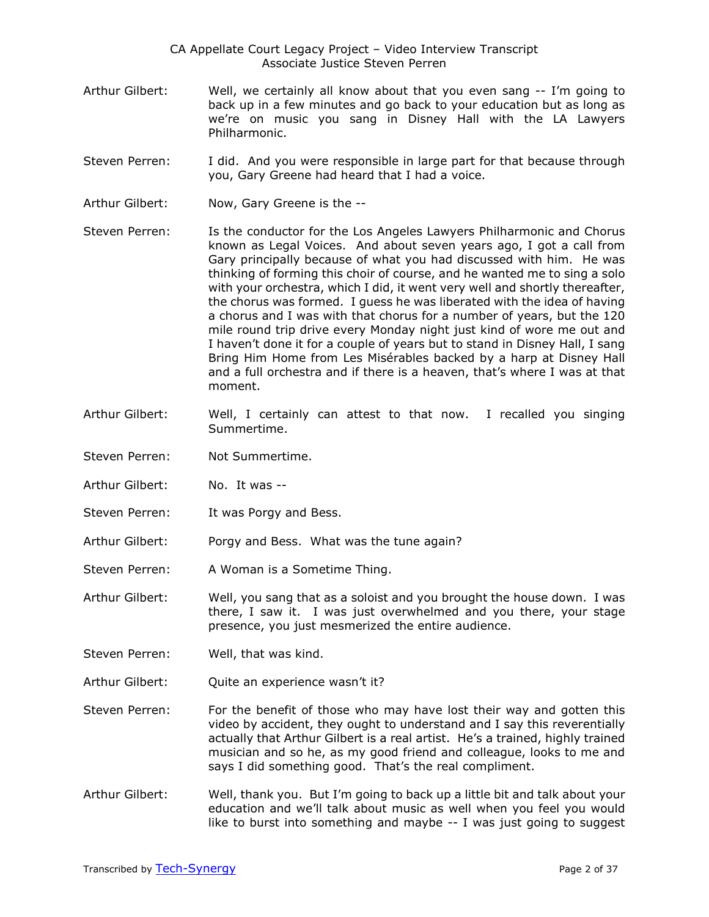- Arthur Gilbert: Well, we certainly all know about that you even sang -- I'm going to back up in a few minutes and go back to your education but as long as we're on music you sang in Disney Hall with the LA Lawyers Philharmonic.
- Steven Perren: I did. And you were responsible in large part for that because through you, Gary Greene had heard that I had a voice.
- Arthur Gilbert: Now, Gary Greene is the --
- Steven Perren: Is the conductor for the Los Angeles Lawyers Philharmonic and Chorus known as Legal Voices. And about seven years ago, I got a call from Gary principally because of what you had discussed with him. He was thinking of forming this choir of course, and he wanted me to sing a solo with your orchestra, which I did, it went very well and shortly thereafter, the chorus was formed. I guess he was liberated with the idea of having a chorus and I was with that chorus for a number of years, but the 120 mile round trip drive every Monday night just kind of wore me out and I haven't done it for a couple of years but to stand in Disney Hall, I sang Bring Him Home from Les Misérables backed by a harp at Disney Hall and a full orchestra and if there is a heaven, that's where I was at that moment.
- Arthur Gilbert: Well, I certainly can attest to that now. I recalled you singing Summertime.
- Steven Perren: Not Summertime.
- Arthur Gilbert: No. It was --
- Steven Perren: It was Porgy and Bess.
- Arthur Gilbert: Porgy and Bess. What was the tune again?
- Steven Perren: A Woman is a Sometime Thing.
- Arthur Gilbert: Well, you sang that as a soloist and you brought the house down. I was there, I saw it. I was just overwhelmed and you there, your stage presence, you just mesmerized the entire audience.
- Steven Perren: Well, that was kind.
- Arthur Gilbert: Quite an experience wasn't it?
- Steven Perren: For the benefit of those who may have lost their way and gotten this video by accident, they ought to understand and I say this reverentially actually that Arthur Gilbert is a real artist. He's a trained, highly trained musician and so he, as my good friend and colleague, looks to me and says I did something good. That's the real compliment.
- Arthur Gilbert: Well, thank you. But I'm going to back up a little bit and talk about your education and we'll talk about music as well when you feel you would like to burst into something and maybe -- I was just going to suggest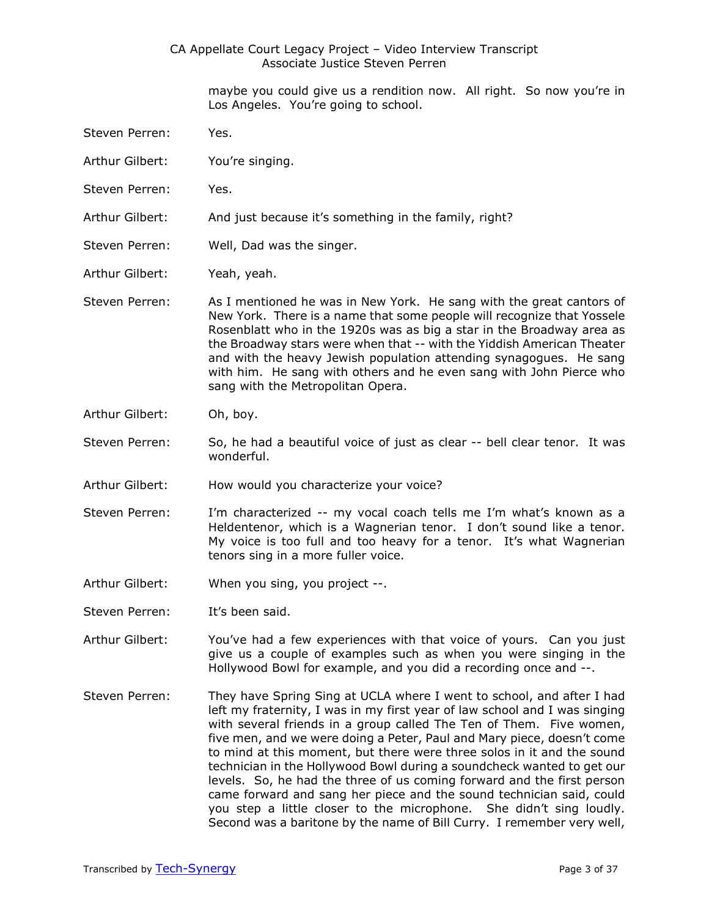maybe you could give us a rendition now. All right. So now you're in Los Angeles. You're going to school.

- Steven Perren: Yes.
- Arthur Gilbert: You're singing.
- Steven Perren: Yes.
- Arthur Gilbert: And just because it's something in the family, right?
- Steven Perren: Well, Dad was the singer.
- Arthur Gilbert: Yeah, yeah.
- Steven Perren: As I mentioned he was in New York. He sang with the great cantors of New York. There is a name that some people will recognize that Yossele Rosenblatt who in the 1920s was as big a star in the Broadway area as the Broadway stars were when that -- with the Yiddish American Theater and with the heavy Jewish population attending synagogues. He sang with him. He sang with others and he even sang with John Pierce who sang with the Metropolitan Opera.
- Arthur Gilbert: Oh, boy.
- Steven Perren: So, he had a beautiful voice of just as clear -- bell clear tenor. It was wonderful.
- Arthur Gilbert: How would you characterize your voice?
- Steven Perren: I'm characterized -- my vocal coach tells me I'm what's known as a Heldentenor, which is a Wagnerian tenor. I don't sound like a tenor. My voice is too full and too heavy for a tenor. It's what Wagnerian tenors sing in a more fuller voice.
- Arthur Gilbert: When you sing, you project --.
- Steven Perren: It's been said.
- Arthur Gilbert: You've had a few experiences with that voice of yours. Can you just give us a couple of examples such as when you were singing in the Hollywood Bowl for example, and you did a recording once and --.
- Steven Perren: They have Spring Sing at UCLA where I went to school, and after I had left my fraternity, I was in my first year of law school and I was singing with several friends in a group called The Ten of Them. Five women, five men, and we were doing a Peter, Paul and Mary piece, doesn't come to mind at this moment, but there were three solos in it and the sound technician in the Hollywood Bowl during a soundcheck wanted to get our levels. So, he had the three of us coming forward and the first person came forward and sang her piece and the sound technician said, could you step a little closer to the microphone. She didn't sing loudly. Second was a baritone by the name of Bill Curry. I remember very well,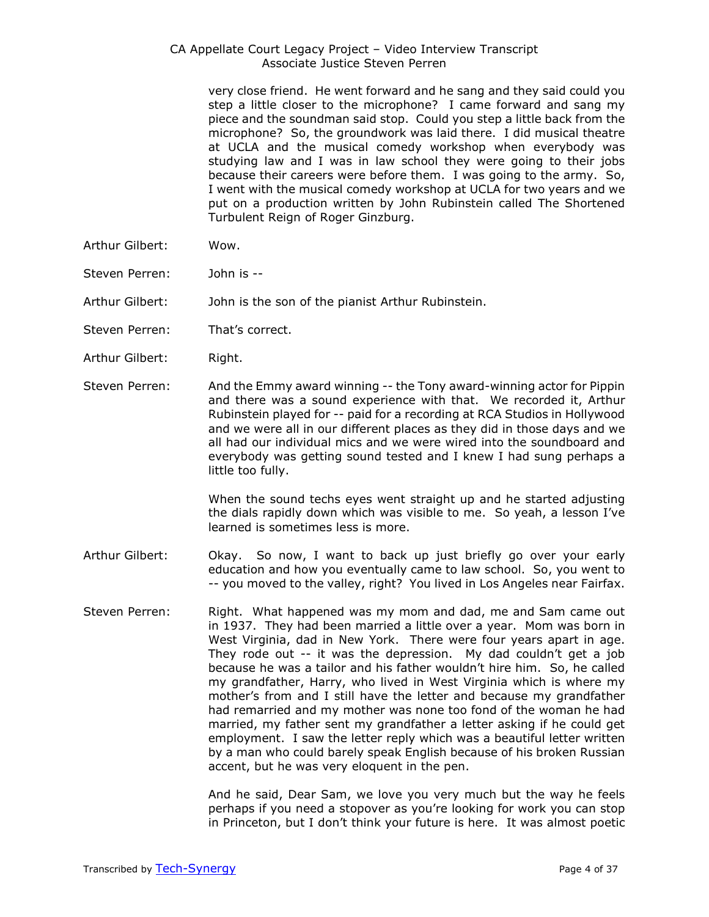very close friend. He went forward and he sang and they said could you step a little closer to the microphone? I came forward and sang my piece and the soundman said stop. Could you step a little back from the microphone? So, the groundwork was laid there. I did musical theatre at UCLA and the musical comedy workshop when everybody was studying law and I was in law school they were going to their jobs because their careers were before them. I was going to the army. So, I went with the musical comedy workshop at UCLA for two years and we put on a production written by John Rubinstein called The Shortened Turbulent Reign of Roger Ginzburg.

- Arthur Gilbert: Wow.
- Steven Perren: John is --
- Arthur Gilbert: John is the son of the pianist Arthur Rubinstein.
- Steven Perren: That's correct.
- Arthur Gilbert: Right.
- Steven Perren: And the Emmy award winning -- the Tony award-winning actor for Pippin and there was a sound experience with that. We recorded it, Arthur Rubinstein played for -- paid for a recording at RCA Studios in Hollywood and we were all in our different places as they did in those days and we all had our individual mics and we were wired into the soundboard and everybody was getting sound tested and I knew I had sung perhaps a little too fully.

When the sound techs eyes went straight up and he started adjusting the dials rapidly down which was visible to me. So yeah, a lesson I've learned is sometimes less is more.

- Arthur Gilbert: Okay. So now, I want to back up just briefly go over your early education and how you eventually came to law school. So, you went to -- you moved to the valley, right? You lived in Los Angeles near Fairfax.
- Steven Perren: Right. What happened was my mom and dad, me and Sam came out in 1937. They had been married a little over a year. Mom was born in West Virginia, dad in New York. There were four years apart in age. They rode out -- it was the depression. My dad couldn't get a job because he was a tailor and his father wouldn't hire him. So, he called my grandfather, Harry, who lived in West Virginia which is where my mother's from and I still have the letter and because my grandfather had remarried and my mother was none too fond of the woman he had married, my father sent my grandfather a letter asking if he could get employment. I saw the letter reply which was a beautiful letter written by a man who could barely speak English because of his broken Russian accent, but he was very eloquent in the pen.

And he said, Dear Sam, we love you very much but the way he feels perhaps if you need a stopover as you're looking for work you can stop in Princeton, but I don't think your future is here. It was almost poetic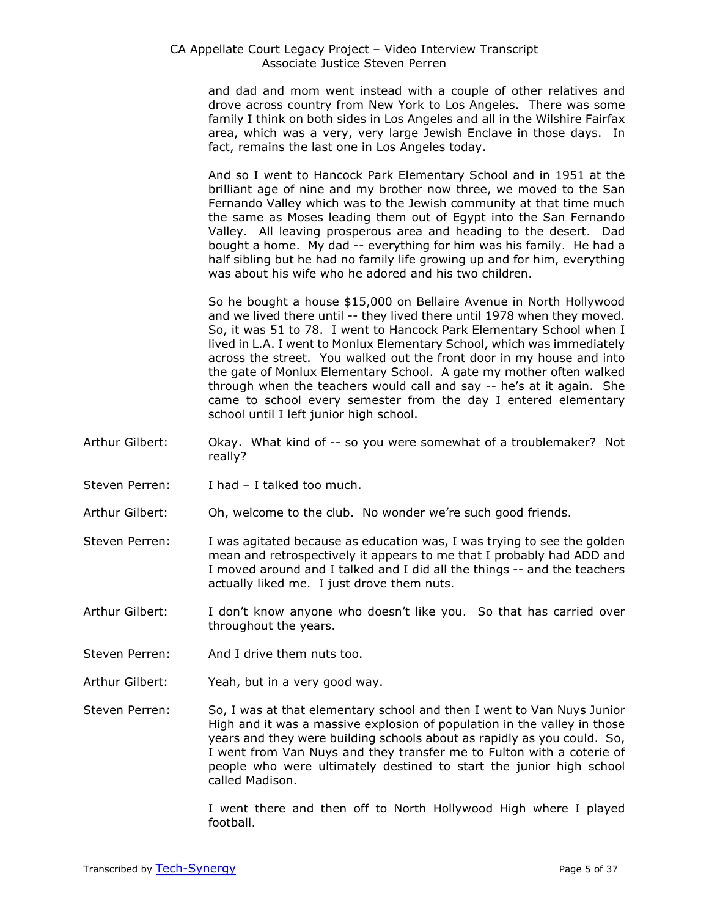and dad and mom went instead with a couple of other relatives and drove across country from New York to Los Angeles. There was some family I think on both sides in Los Angeles and all in the Wilshire Fairfax area, which was a very, very large Jewish Enclave in those days. In fact, remains the last one in Los Angeles today.

And so I went to Hancock Park Elementary School and in 1951 at the brilliant age of nine and my brother now three, we moved to the San Fernando Valley which was to the Jewish community at that time much the same as Moses leading them out of Egypt into the San Fernando Valley. All leaving prosperous area and heading to the desert. Dad bought a home. My dad -- everything for him was his family. He had a half sibling but he had no family life growing up and for him, everything was about his wife who he adored and his two children.

So he bought a house \$15,000 on Bellaire Avenue in North Hollywood and we lived there until -- they lived there until 1978 when they moved. So, it was 51 to 78. I went to Hancock Park Elementary School when I lived in L.A. I went to Monlux Elementary School, which was immediately across the street. You walked out the front door in my house and into the gate of Monlux Elementary School. A gate my mother often walked through when the teachers would call and say -- he's at it again. She came to school every semester from the day I entered elementary school until I left junior high school.

- Arthur Gilbert: Okay. What kind of -- so you were somewhat of a troublemaker? Not really?
- Steven Perren: I had I talked too much.
- Arthur Gilbert: Oh, welcome to the club. No wonder we're such good friends.
- Steven Perren: I was agitated because as education was, I was trying to see the golden mean and retrospectively it appears to me that I probably had ADD and I moved around and I talked and I did all the things -- and the teachers actually liked me. I just drove them nuts.
- Arthur Gilbert: I don't know anyone who doesn't like you. So that has carried over throughout the years.
- Steven Perren: And I drive them nuts too.
- Arthur Gilbert: Yeah, but in a very good way.

Steven Perren: So, I was at that elementary school and then I went to Van Nuys Junior High and it was a massive explosion of population in the valley in those years and they were building schools about as rapidly as you could. So, I went from Van Nuys and they transfer me to Fulton with a coterie of people who were ultimately destined to start the junior high school called Madison.

> I went there and then off to North Hollywood High where I played football.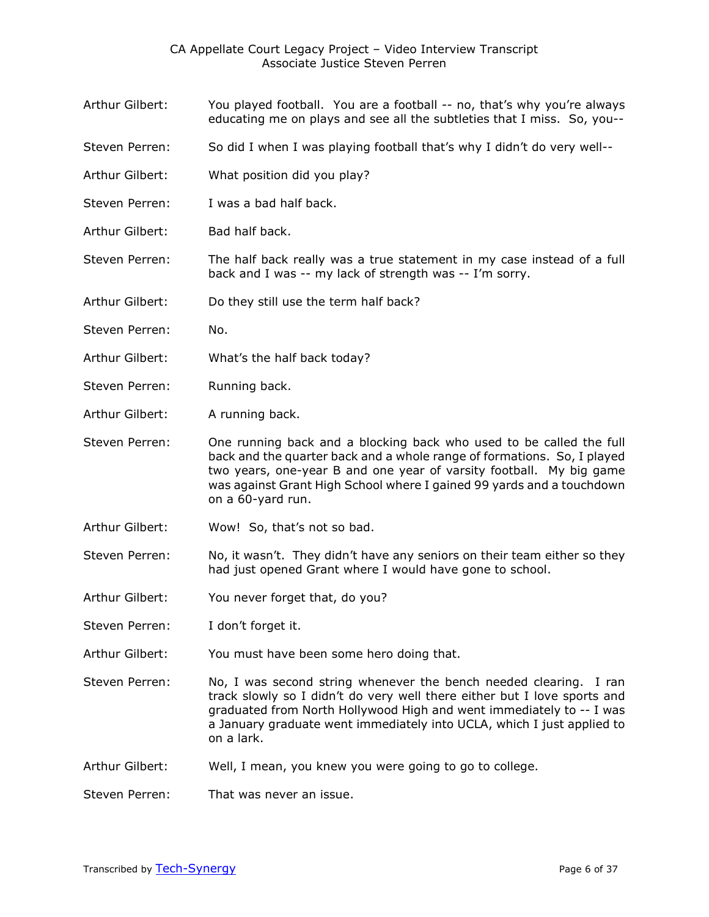- Arthur Gilbert: You played football. You are a football -- no, that's why you're always educating me on plays and see all the subtleties that I miss. So, you--
- Steven Perren: So did I when I was playing football that's why I didn't do very well--
- Arthur Gilbert: What position did you play?
- Steven Perren: I was a bad half back.
- Arthur Gilbert: Bad half back.
- Steven Perren: The half back really was a true statement in my case instead of a full back and I was -- my lack of strength was -- I'm sorry.
- Arthur Gilbert: Do they still use the term half back?
- Steven Perren: No.
- Arthur Gilbert: What's the half back today?
- Steven Perren: Running back.
- Arthur Gilbert: A running back.

Steven Perren: One running back and a blocking back who used to be called the full back and the quarter back and a whole range of formations. So, I played two years, one-year B and one year of varsity football. My big game was against Grant High School where I gained 99 yards and a touchdown on a 60-yard run.

- Arthur Gilbert: Wow! So, that's not so bad.
- Steven Perren: No, it wasn't. They didn't have any seniors on their team either so they had just opened Grant where I would have gone to school.
- Arthur Gilbert: You never forget that, do you?
- Steven Perren: I don't forget it.
- Arthur Gilbert: You must have been some hero doing that.
- Steven Perren: No, I was second string whenever the bench needed clearing. I ran track slowly so I didn't do very well there either but I love sports and graduated from North Hollywood High and went immediately to -- I was a January graduate went immediately into UCLA, which I just applied to on a lark.
- Arthur Gilbert: Well, I mean, you knew you were going to go to college.
- Steven Perren: That was never an issue.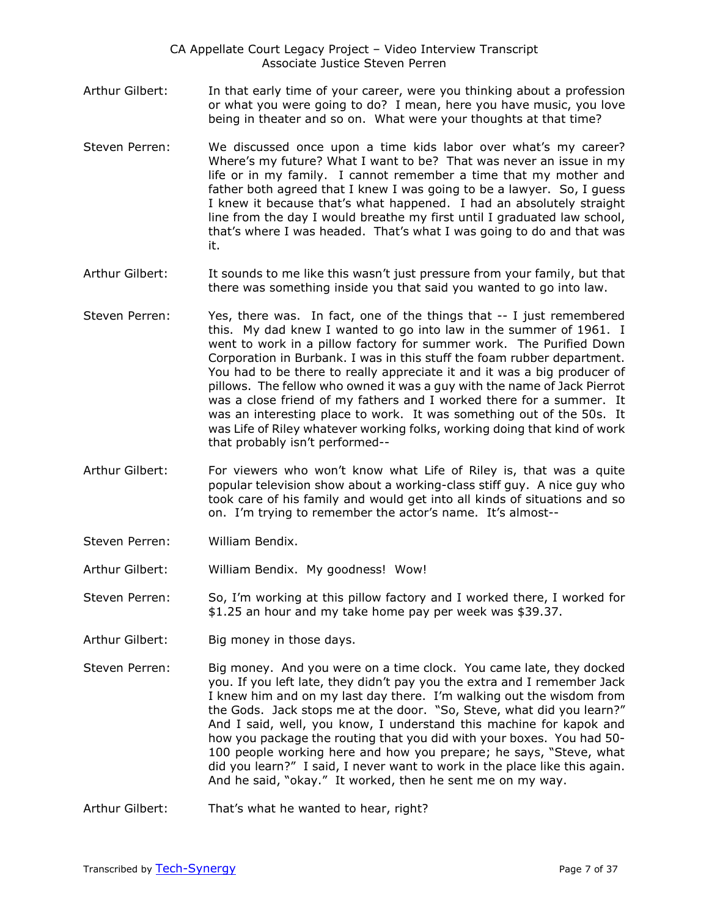- Arthur Gilbert: In that early time of your career, were you thinking about a profession or what you were going to do? I mean, here you have music, you love being in theater and so on. What were your thoughts at that time?
- Steven Perren: We discussed once upon a time kids labor over what's my career? Where's my future? What I want to be? That was never an issue in my life or in my family. I cannot remember a time that my mother and father both agreed that I knew I was going to be a lawyer. So, I guess I knew it because that's what happened. I had an absolutely straight line from the day I would breathe my first until I graduated law school, that's where I was headed. That's what I was going to do and that was it.
- Arthur Gilbert: It sounds to me like this wasn't just pressure from your family, but that there was something inside you that said you wanted to go into law.
- Steven Perren: Yes, there was. In fact, one of the things that -- I just remembered this. My dad knew I wanted to go into law in the summer of 1961. I went to work in a pillow factory for summer work. The Purified Down Corporation in Burbank. I was in this stuff the foam rubber department. You had to be there to really appreciate it and it was a big producer of pillows. The fellow who owned it was a guy with the name of Jack Pierrot was a close friend of my fathers and I worked there for a summer. It was an interesting place to work. It was something out of the 50s. It was Life of Riley whatever working folks, working doing that kind of work that probably isn't performed--
- Arthur Gilbert: For viewers who won't know what Life of Riley is, that was a quite popular television show about a working-class stiff guy. A nice guy who took care of his family and would get into all kinds of situations and so on. I'm trying to remember the actor's name. It's almost--
- Steven Perren: William Bendix.

Arthur Gilbert: William Bendix. My goodness! Wow!

Steven Perren: So, I'm working at this pillow factory and I worked there, I worked for \$1.25 an hour and my take home pay per week was \$39.37.

- Arthur Gilbert: Big money in those days.
- Steven Perren: Big money. And you were on a time clock. You came late, they docked you. If you left late, they didn't pay you the extra and I remember Jack I knew him and on my last day there. I'm walking out the wisdom from the Gods. Jack stops me at the door. "So, Steve, what did you learn?" And I said, well, you know, I understand this machine for kapok and how you package the routing that you did with your boxes. You had 50- 100 people working here and how you prepare; he says, "Steve, what did you learn?" I said, I never want to work in the place like this again. And he said, "okay." It worked, then he sent me on my way.
- Arthur Gilbert: That's what he wanted to hear, right?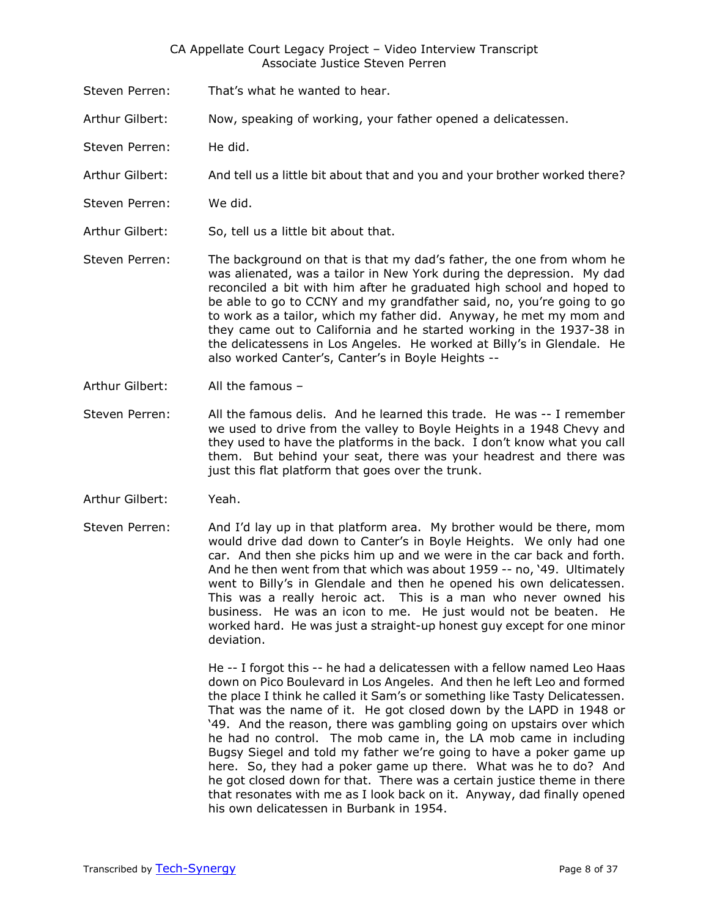- Steven Perren: That's what he wanted to hear.
- Arthur Gilbert: Now, speaking of working, your father opened a delicatessen.
- Steven Perren: He did.
- Arthur Gilbert: And tell us a little bit about that and you and your brother worked there?
- Steven Perren: We did.
- Arthur Gilbert: So, tell us a little bit about that.
- Steven Perren: The background on that is that my dad's father, the one from whom he was alienated, was a tailor in New York during the depression. My dad reconciled a bit with him after he graduated high school and hoped to be able to go to CCNY and my grandfather said, no, you're going to go to work as a tailor, which my father did. Anyway, he met my mom and they came out to California and he started working in the 1937-38 in the delicatessens in Los Angeles. He worked at Billy's in Glendale. He also worked Canter's, Canter's in Boyle Heights --
- Arthur Gilbert: All the famous –
- Steven Perren: All the famous delis. And he learned this trade. He was -- I remember we used to drive from the valley to Boyle Heights in a 1948 Chevy and they used to have the platforms in the back. I don't know what you call them. But behind your seat, there was your headrest and there was just this flat platform that goes over the trunk.
- Arthur Gilbert: Yeah.
- Steven Perren: And I'd lay up in that platform area. My brother would be there, mom would drive dad down to Canter's in Boyle Heights. We only had one car. And then she picks him up and we were in the car back and forth. And he then went from that which was about 1959 -- no, '49. Ultimately went to Billy's in Glendale and then he opened his own delicatessen. This was a really heroic act. This is a man who never owned his business. He was an icon to me. He just would not be beaten. He worked hard. He was just a straight-up honest guy except for one minor deviation.

He -- I forgot this -- he had a delicatessen with a fellow named Leo Haas down on Pico Boulevard in Los Angeles. And then he left Leo and formed the place I think he called it Sam's or something like Tasty Delicatessen. That was the name of it. He got closed down by the LAPD in 1948 or '49. And the reason, there was gambling going on upstairs over which he had no control. The mob came in, the LA mob came in including Bugsy Siegel and told my father we're going to have a poker game up here. So, they had a poker game up there. What was he to do? And he got closed down for that. There was a certain justice theme in there that resonates with me as I look back on it. Anyway, dad finally opened his own delicatessen in Burbank in 1954.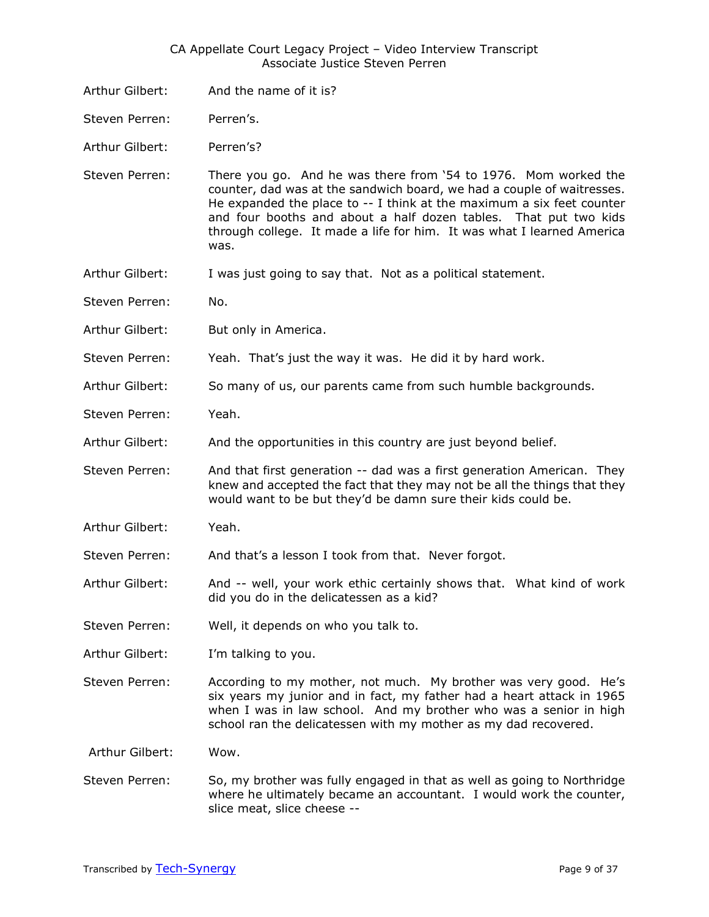- Arthur Gilbert: And the name of it is?
- Steven Perren: Perren's.

Arthur Gilbert: Perren's?

Steven Perren: There you go. And he was there from '54 to 1976. Mom worked the counter, dad was at the sandwich board, we had a couple of waitresses. He expanded the place to -- I think at the maximum a six feet counter and four booths and about a half dozen tables. That put two kids through college. It made a life for him. It was what I learned America was.

- Arthur Gilbert: I was just going to say that. Not as a political statement.
- Steven Perren: No.
- Arthur Gilbert: But only in America.
- Steven Perren: Yeah. That's just the way it was. He did it by hard work.
- Arthur Gilbert: So many of us, our parents came from such humble backgrounds.
- Steven Perren: Yeah.
- Arthur Gilbert: And the opportunities in this country are just beyond belief.
- Steven Perren: And that first generation -- dad was a first generation American. They knew and accepted the fact that they may not be all the things that they would want to be but they'd be damn sure their kids could be.
- Arthur Gilbert: Yeah.
- Steven Perren: And that's a lesson I took from that. Never forgot.
- Arthur Gilbert: And -- well, your work ethic certainly shows that. What kind of work did you do in the delicatessen as a kid?
- Steven Perren: Well, it depends on who you talk to.
- Arthur Gilbert: I'm talking to you.
- Steven Perren: According to my mother, not much. My brother was very good. He's six years my junior and in fact, my father had a heart attack in 1965 when I was in law school. And my brother who was a senior in high school ran the delicatessen with my mother as my dad recovered.

Arthur Gilbert: Wow.

Steven Perren: So, my brother was fully engaged in that as well as going to Northridge where he ultimately became an accountant. I would work the counter, slice meat, slice cheese --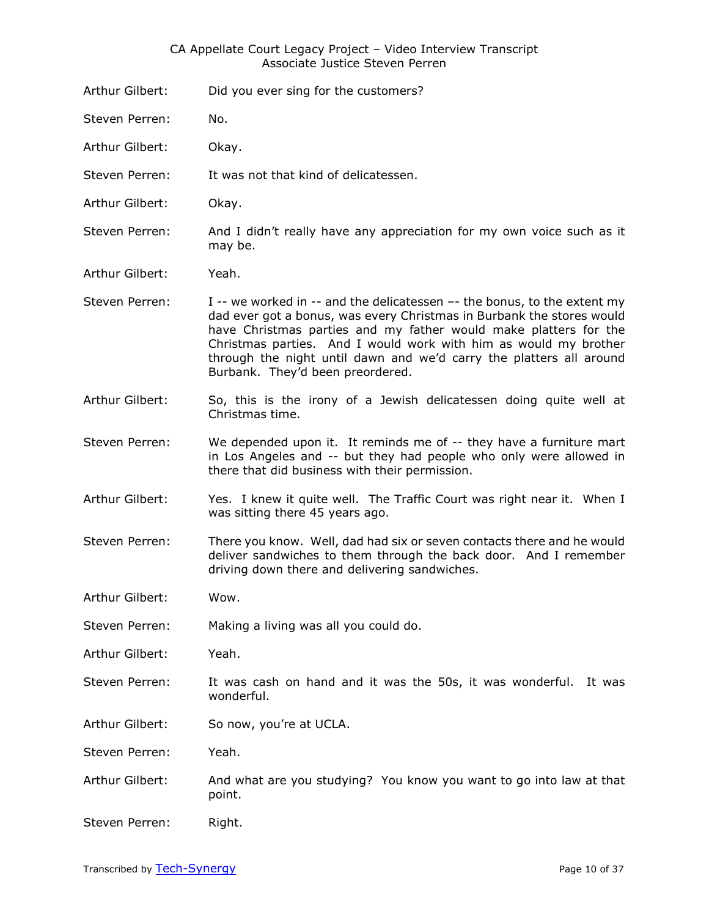- Arthur Gilbert: Did you ever sing for the customers?
- Steven Perren: No.
- Arthur Gilbert: Okay.
- Steven Perren: It was not that kind of delicatessen.
- Arthur Gilbert: Okay.
- Steven Perren: And I didn't really have any appreciation for my own voice such as it may be.
- Arthur Gilbert: Yeah.
- Steven Perren:  $I -$  we worked in  $-$  and the delicatessen  $-$  the bonus, to the extent my dad ever got a bonus, was every Christmas in Burbank the stores would have Christmas parties and my father would make platters for the Christmas parties. And I would work with him as would my brother through the night until dawn and we'd carry the platters all around Burbank. They'd been preordered.
- Arthur Gilbert: So, this is the irony of a Jewish delicatessen doing quite well at Christmas time.
- Steven Perren: We depended upon it. It reminds me of -- they have a furniture mart in Los Angeles and -- but they had people who only were allowed in there that did business with their permission.
- Arthur Gilbert: Yes. I knew it quite well. The Traffic Court was right near it. When I was sitting there 45 years ago.
- Steven Perren: There you know. Well, dad had six or seven contacts there and he would deliver sandwiches to them through the back door. And I remember driving down there and delivering sandwiches.
- Arthur Gilbert: Wow.
- Steven Perren: Making a living was all you could do.
- Arthur Gilbert: Yeah.
- Steven Perren: It was cash on hand and it was the 50s, it was wonderful. It was wonderful.
- Arthur Gilbert: So now, you're at UCLA.
- Steven Perren: Yeah.
- Arthur Gilbert: And what are you studying? You know you want to go into law at that point.
- Steven Perren: Right.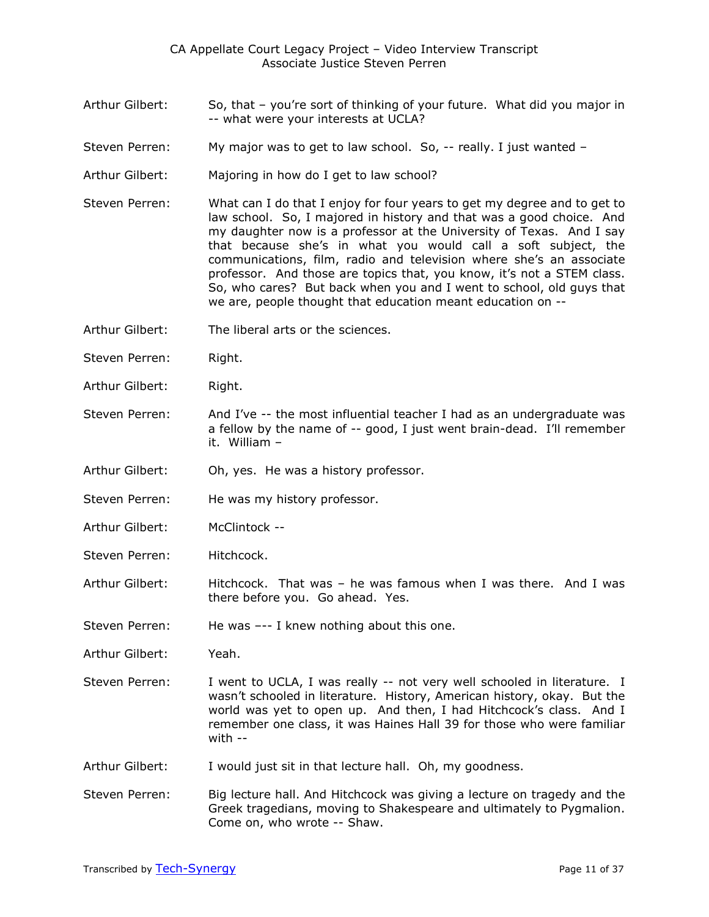- Arthur Gilbert: So, that you're sort of thinking of your future. What did you major in -- what were your interests at UCLA?
- Steven Perren: My major was to get to law school. So, -- really. I just wanted –
- Arthur Gilbert: Majoring in how do I get to law school?
- Steven Perren: What can I do that I enjoy for four years to get my degree and to get to law school. So, I majored in history and that was a good choice. And my daughter now is a professor at the University of Texas. And I say that because she's in what you would call a soft subject, the communications, film, radio and television where she's an associate professor. And those are topics that, you know, it's not a STEM class. So, who cares? But back when you and I went to school, old guys that we are, people thought that education meant education on --
- Arthur Gilbert: The liberal arts or the sciences.
- Steven Perren: Right.
- Arthur Gilbert: Right.
- Steven Perren: And I've -- the most influential teacher I had as an undergraduate was a fellow by the name of -- good, I just went brain-dead. I'll remember it. William –
- Arthur Gilbert: Oh, yes. He was a history professor.
- Steven Perren: He was my history professor.
- Arthur Gilbert: McClintock --
- Steven Perren: Hitchcock.
- Arthur Gilbert: Hitchcock. That was he was famous when I was there. And I was there before you. Go ahead. Yes.

Steven Perren: He was --- I knew nothing about this one.

- Arthur Gilbert: Yeah.
- Steven Perren: I went to UCLA, I was really -- not very well schooled in literature. I wasn't schooled in literature. History, American history, okay. But the world was yet to open up. And then, I had Hitchcock's class. And I remember one class, it was Haines Hall 39 for those who were familiar with --
- Arthur Gilbert: I would just sit in that lecture hall. Oh, my goodness.
- Steven Perren: Big lecture hall. And Hitchcock was giving a lecture on tragedy and the Greek tragedians, moving to Shakespeare and ultimately to Pygmalion. Come on, who wrote -- Shaw.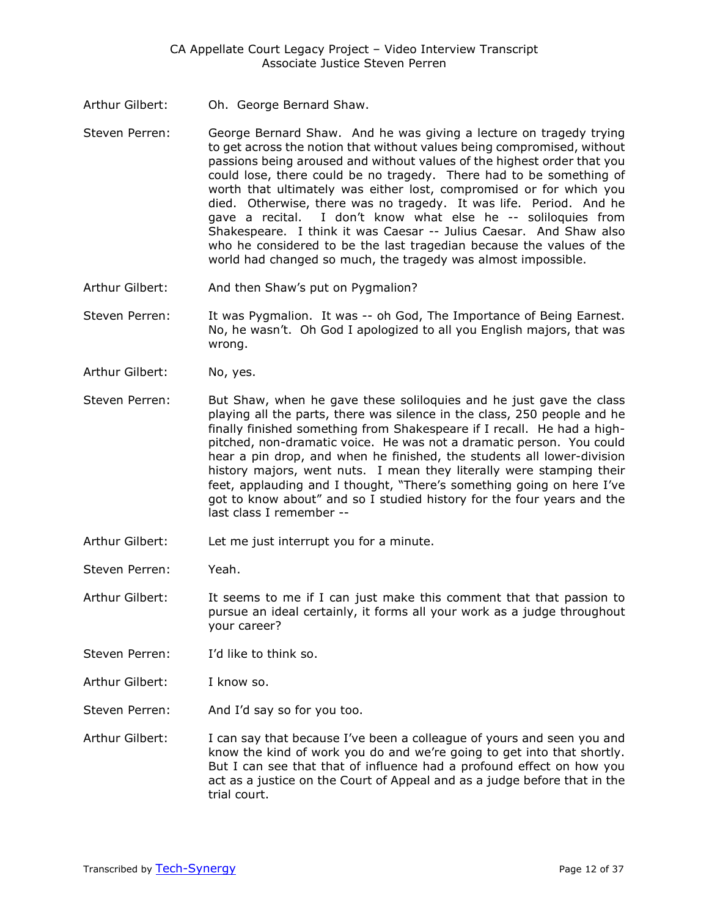- Arthur Gilbert: Oh. George Bernard Shaw.
- Steven Perren: George Bernard Shaw. And he was giving a lecture on tragedy trying to get across the notion that without values being compromised, without passions being aroused and without values of the highest order that you could lose, there could be no tragedy. There had to be something of worth that ultimately was either lost, compromised or for which you died. Otherwise, there was no tragedy. It was life. Period. And he gave a recital. I don't know what else he -- soliloquies from Shakespeare. I think it was Caesar -- Julius Caesar. And Shaw also who he considered to be the last tragedian because the values of the world had changed so much, the tragedy was almost impossible.
- Arthur Gilbert: And then Shaw's put on Pygmalion?
- Steven Perren: It was Pygmalion. It was -- oh God, The Importance of Being Earnest. No, he wasn't. Oh God I apologized to all you English majors, that was wrong.
- Arthur Gilbert: No, yes.
- Steven Perren: But Shaw, when he gave these soliloquies and he just gave the class playing all the parts, there was silence in the class, 250 people and he finally finished something from Shakespeare if I recall. He had a highpitched, non-dramatic voice. He was not a dramatic person. You could hear a pin drop, and when he finished, the students all lower-division history majors, went nuts. I mean they literally were stamping their feet, applauding and I thought, "There's something going on here I've got to know about" and so I studied history for the four years and the last class I remember --
- Arthur Gilbert: Let me just interrupt you for a minute.

Steven Perren: Yeah.

- Arthur Gilbert: It seems to me if I can just make this comment that that passion to pursue an ideal certainly, it forms all your work as a judge throughout your career?
- Steven Perren: I'd like to think so.
- Arthur Gilbert: I know so.
- Steven Perren: And I'd say so for you too.
- Arthur Gilbert: I can say that because I've been a colleague of yours and seen you and know the kind of work you do and we're going to get into that shortly. But I can see that that of influence had a profound effect on how you act as a justice on the Court of Appeal and as a judge before that in the trial court.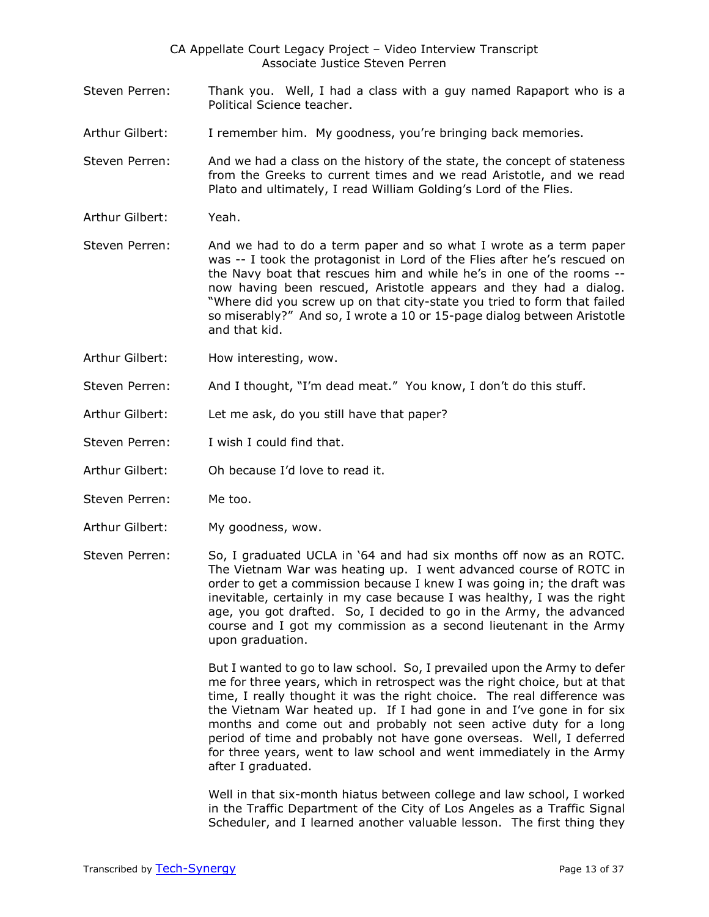- Steven Perren: Thank you. Well, I had a class with a guy named Rapaport who is a Political Science teacher.
- Arthur Gilbert: I remember him. My goodness, you're bringing back memories.
- Steven Perren: And we had a class on the history of the state, the concept of stateness from the Greeks to current times and we read Aristotle, and we read Plato and ultimately, I read William Golding's Lord of the Flies.
- Arthur Gilbert: Yeah.
- Steven Perren: And we had to do a term paper and so what I wrote as a term paper was -- I took the protagonist in Lord of the Flies after he's rescued on the Navy boat that rescues him and while he's in one of the rooms - now having been rescued, Aristotle appears and they had a dialog. "Where did you screw up on that city-state you tried to form that failed so miserably?" And so, I wrote a 10 or 15-page dialog between Aristotle and that kid.
- Arthur Gilbert: How interesting, wow.
- Steven Perren: And I thought, "I'm dead meat." You know, I don't do this stuff.
- Arthur Gilbert: Let me ask, do you still have that paper?
- Steven Perren: I wish I could find that.
- Arthur Gilbert: Oh because I'd love to read it.
- Steven Perren: Me too.
- Arthur Gilbert: My goodness, wow.
- Steven Perren: So, I graduated UCLA in '64 and had six months off now as an ROTC. The Vietnam War was heating up. I went advanced course of ROTC in order to get a commission because I knew I was going in; the draft was inevitable, certainly in my case because I was healthy, I was the right age, you got drafted. So, I decided to go in the Army, the advanced course and I got my commission as a second lieutenant in the Army upon graduation.

But I wanted to go to law school. So, I prevailed upon the Army to defer me for three years, which in retrospect was the right choice, but at that time, I really thought it was the right choice. The real difference was the Vietnam War heated up. If I had gone in and I've gone in for six months and come out and probably not seen active duty for a long period of time and probably not have gone overseas. Well, I deferred for three years, went to law school and went immediately in the Army after I graduated.

Well in that six-month hiatus between college and law school, I worked in the Traffic Department of the City of Los Angeles as a Traffic Signal Scheduler, and I learned another valuable lesson. The first thing they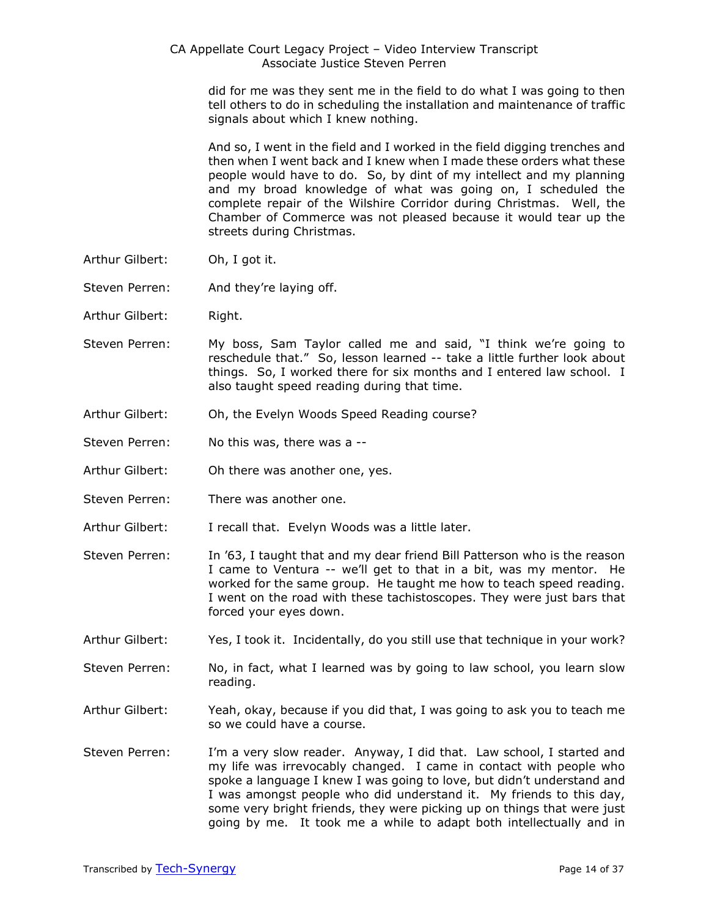did for me was they sent me in the field to do what I was going to then tell others to do in scheduling the installation and maintenance of traffic signals about which I knew nothing.

And so, I went in the field and I worked in the field digging trenches and then when I went back and I knew when I made these orders what these people would have to do. So, by dint of my intellect and my planning and my broad knowledge of what was going on, I scheduled the complete repair of the Wilshire Corridor during Christmas. Well, the Chamber of Commerce was not pleased because it would tear up the streets during Christmas.

- Arthur Gilbert: Oh, I got it.
- Steven Perren: And they're laying off.
- Arthur Gilbert: Right.
- Steven Perren: My boss, Sam Taylor called me and said, "I think we're going to reschedule that." So, lesson learned -- take a little further look about things. So, I worked there for six months and I entered law school. I also taught speed reading during that time.
- Arthur Gilbert: Oh, the Evelyn Woods Speed Reading course?
- Steven Perren: No this was, there was a --
- Arthur Gilbert: Oh there was another one, yes.
- Steven Perren: There was another one.
- Arthur Gilbert: I recall that. Evelyn Woods was a little later.
- Steven Perren: In '63, I taught that and my dear friend Bill Patterson who is the reason I came to Ventura -- we'll get to that in a bit, was my mentor. He worked for the same group. He taught me how to teach speed reading. I went on the road with these tachistoscopes. They were just bars that forced your eyes down.
- Arthur Gilbert: Yes, I took it. Incidentally, do you still use that technique in your work?
- Steven Perren: No, in fact, what I learned was by going to law school, you learn slow reading.
- Arthur Gilbert: Yeah, okay, because if you did that, I was going to ask you to teach me so we could have a course.
- Steven Perren: I'm a very slow reader. Anyway, I did that. Law school, I started and my life was irrevocably changed. I came in contact with people who spoke a language I knew I was going to love, but didn't understand and I was amongst people who did understand it. My friends to this day, some very bright friends, they were picking up on things that were just going by me. It took me a while to adapt both intellectually and in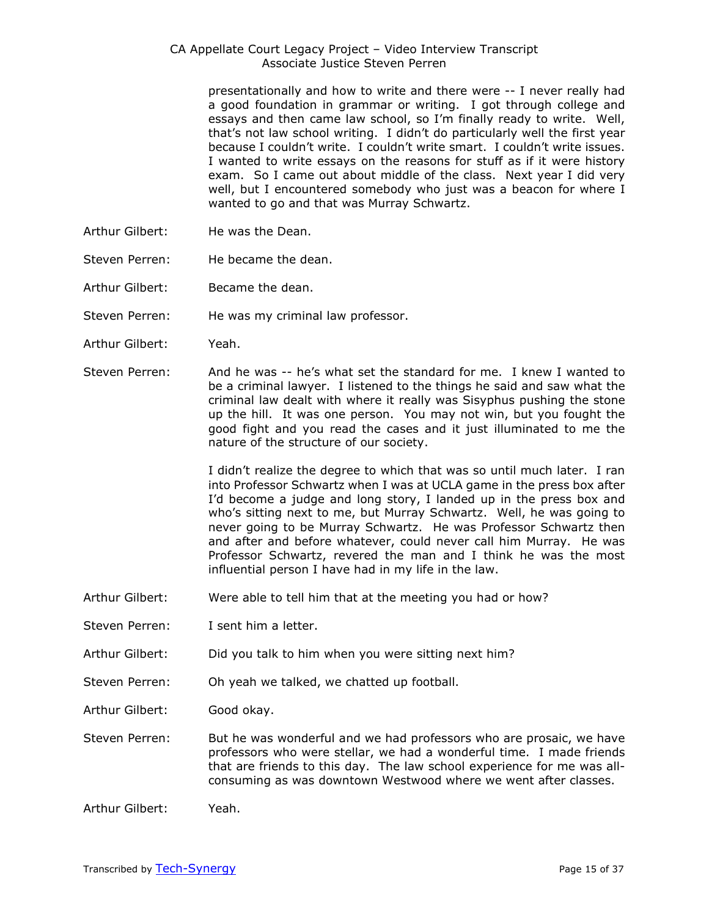presentationally and how to write and there were -- I never really had a good foundation in grammar or writing. I got through college and essays and then came law school, so I'm finally ready to write. Well, that's not law school writing. I didn't do particularly well the first year because I couldn't write. I couldn't write smart. I couldn't write issues. I wanted to write essays on the reasons for stuff as if it were history exam. So I came out about middle of the class. Next year I did very well, but I encountered somebody who just was a beacon for where I wanted to go and that was Murray Schwartz.

- Arthur Gilbert: He was the Dean.
- Steven Perren: He became the dean.
- Arthur Gilbert: Became the dean.
- Steven Perren: He was my criminal law professor.
- Arthur Gilbert: Yeah.
- Steven Perren: And he was -- he's what set the standard for me. I knew I wanted to be a criminal lawyer. I listened to the things he said and saw what the criminal law dealt with where it really was Sisyphus pushing the stone up the hill. It was one person. You may not win, but you fought the good fight and you read the cases and it just illuminated to me the nature of the structure of our society.

I didn't realize the degree to which that was so until much later. I ran into Professor Schwartz when I was at UCLA game in the press box after I'd become a judge and long story, I landed up in the press box and who's sitting next to me, but Murray Schwartz. Well, he was going to never going to be Murray Schwartz. He was Professor Schwartz then and after and before whatever, could never call him Murray. He was Professor Schwartz, revered the man and I think he was the most influential person I have had in my life in the law.

- Arthur Gilbert: Were able to tell him that at the meeting you had or how?
- Steven Perren: I sent him a letter.
- Arthur Gilbert: Did you talk to him when you were sitting next him?
- Steven Perren: Oh yeah we talked, we chatted up football.
- Arthur Gilbert: Good okay.
- Steven Perren: But he was wonderful and we had professors who are prosaic, we have professors who were stellar, we had a wonderful time. I made friends that are friends to this day. The law school experience for me was allconsuming as was downtown Westwood where we went after classes.
- Arthur Gilbert: Yeah.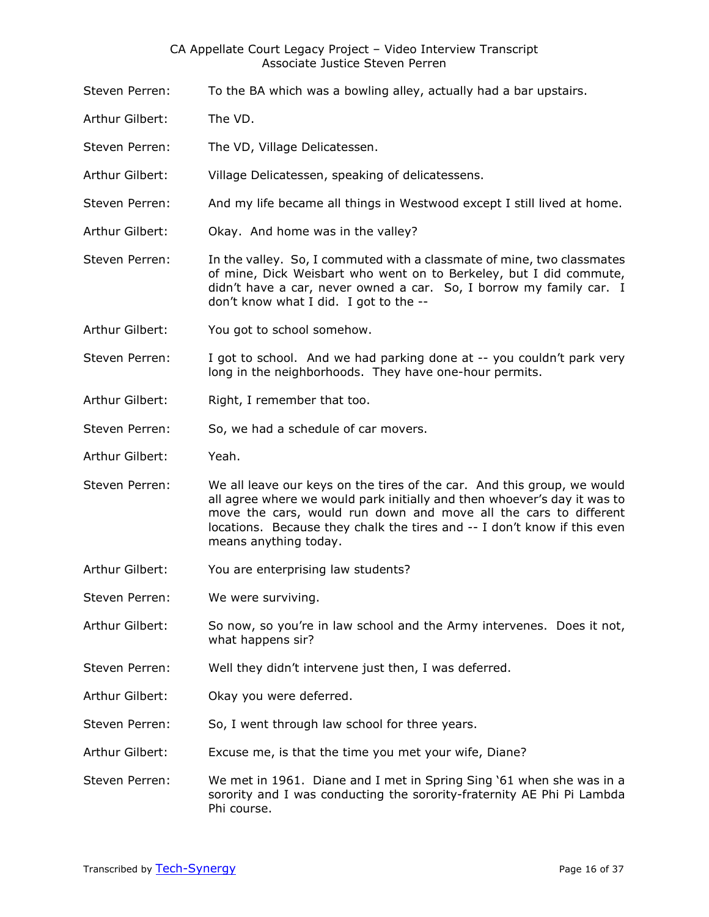- Steven Perren: To the BA which was a bowling alley, actually had a bar upstairs.
- Arthur Gilbert: The VD.
- Steven Perren: The VD, Village Delicatessen.
- Arthur Gilbert: Village Delicatessen, speaking of delicatessens.
- Steven Perren: And my life became all things in Westwood except I still lived at home.
- Arthur Gilbert: Okay. And home was in the valley?
- Steven Perren: In the valley. So, I commuted with a classmate of mine, two classmates of mine, Dick Weisbart who went on to Berkeley, but I did commute, didn't have a car, never owned a car. So, I borrow my family car. I don't know what I did. I got to the --
- Arthur Gilbert: You got to school somehow.
- Steven Perren: I got to school. And we had parking done at -- you couldn't park very long in the neighborhoods. They have one-hour permits.
- Arthur Gilbert: Right, I remember that too.
- Steven Perren: So, we had a schedule of car movers.
- Arthur Gilbert: Yeah.
- Steven Perren: We all leave our keys on the tires of the car. And this group, we would all agree where we would park initially and then whoever's day it was to move the cars, would run down and move all the cars to different locations. Because they chalk the tires and -- I don't know if this even means anything today.
- Arthur Gilbert: You are enterprising law students?
- Steven Perren: We were surviving.
- Arthur Gilbert: So now, so you're in law school and the Army intervenes. Does it not, what happens sir?
- Steven Perren: Well they didn't intervene just then, I was deferred.
- Arthur Gilbert: Okay you were deferred.
- Steven Perren: So, I went through law school for three years.
- Arthur Gilbert: Excuse me, is that the time you met your wife, Diane?
- Steven Perren: We met in 1961. Diane and I met in Spring Sing '61 when she was in a sorority and I was conducting the sorority-fraternity AE Phi Pi Lambda Phi course.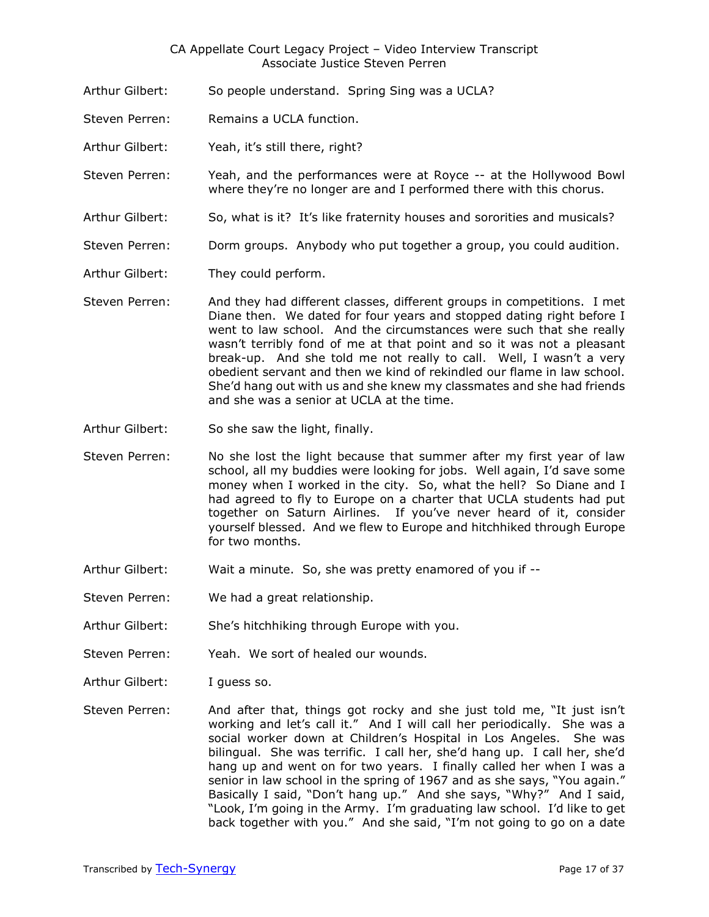- Arthur Gilbert: So people understand. Spring Sing was a UCLA?
- Steven Perren: Remains a UCLA function.
- Arthur Gilbert: Yeah, it's still there, right?
- Steven Perren: Yeah, and the performances were at Royce -- at the Hollywood Bowl where they're no longer are and I performed there with this chorus.
- Arthur Gilbert: So, what is it? It's like fraternity houses and sororities and musicals?
- Steven Perren: Dorm groups. Anybody who put together a group, you could audition.
- Arthur Gilbert: They could perform.
- Steven Perren: And they had different classes, different groups in competitions. I met Diane then. We dated for four years and stopped dating right before I went to law school. And the circumstances were such that she really wasn't terribly fond of me at that point and so it was not a pleasant break-up. And she told me not really to call. Well, I wasn't a very obedient servant and then we kind of rekindled our flame in law school. She'd hang out with us and she knew my classmates and she had friends and she was a senior at UCLA at the time.
- Arthur Gilbert: So she saw the light, finally.
- Steven Perren: No she lost the light because that summer after my first year of law school, all my buddies were looking for jobs. Well again, I'd save some money when I worked in the city. So, what the hell? So Diane and I had agreed to fly to Europe on a charter that UCLA students had put together on Saturn Airlines. If you've never heard of it, consider yourself blessed. And we flew to Europe and hitchhiked through Europe for two months.
- Arthur Gilbert: Wait a minute. So, she was pretty enamored of you if --
- Steven Perren: We had a great relationship.
- Arthur Gilbert: She's hitchhiking through Europe with you.
- Steven Perren: Yeah. We sort of healed our wounds.
- Arthur Gilbert: I guess so.
- Steven Perren: And after that, things got rocky and she just told me, "It just isn't working and let's call it." And I will call her periodically. She was a social worker down at Children's Hospital in Los Angeles. She was bilingual. She was terrific. I call her, she'd hang up. I call her, she'd hang up and went on for two years. I finally called her when I was a senior in law school in the spring of 1967 and as she says, "You again." Basically I said, "Don't hang up." And she says, "Why?" And I said, "Look, I'm going in the Army. I'm graduating law school. I'd like to get back together with you." And she said, "I'm not going to go on a date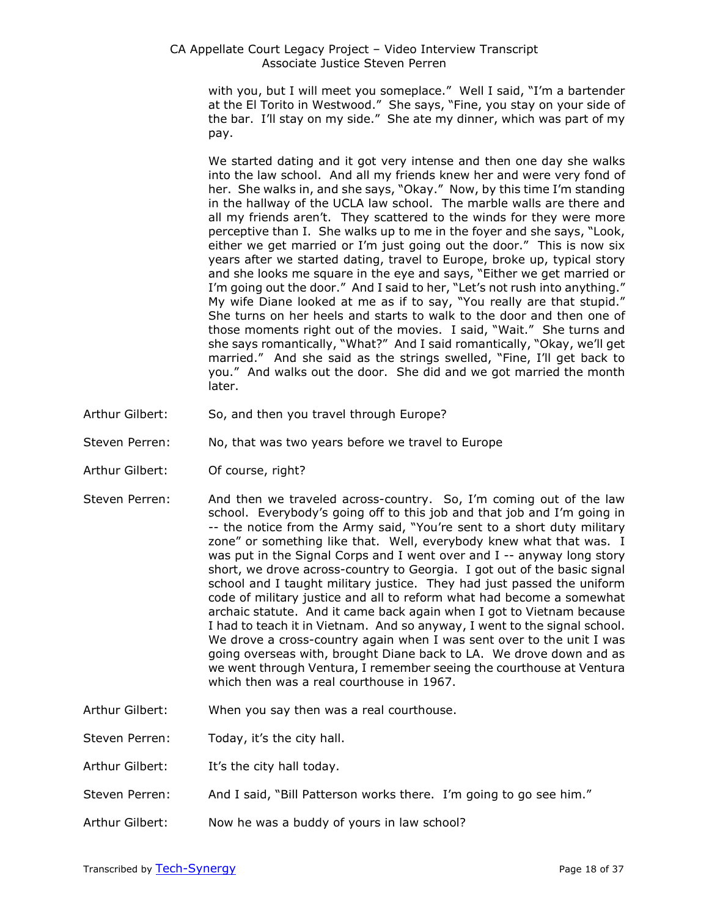> with you, but I will meet you someplace." Well I said, "I'm a bartender at the El Torito in Westwood." She says, "Fine, you stay on your side of the bar. I'll stay on my side." She ate my dinner, which was part of my pay.

> We started dating and it got very intense and then one day she walks into the law school. And all my friends knew her and were very fond of her. She walks in, and she says, "Okay." Now, by this time I'm standing in the hallway of the UCLA law school. The marble walls are there and all my friends aren't. They scattered to the winds for they were more perceptive than I. She walks up to me in the foyer and she says, "Look, either we get married or I'm just going out the door." This is now six years after we started dating, travel to Europe, broke up, typical story and she looks me square in the eye and says, "Either we get married or I'm going out the door." And I said to her, "Let's not rush into anything." My wife Diane looked at me as if to say, "You really are that stupid." She turns on her heels and starts to walk to the door and then one of those moments right out of the movies. I said, "Wait." She turns and she says romantically, "What?" And I said romantically, "Okay, we'll get married." And she said as the strings swelled, "Fine, I'll get back to you." And walks out the door. She did and we got married the month later.

- Arthur Gilbert: So, and then you travel through Europe?
- Steven Perren: No, that was two years before we travel to Europe
- Arthur Gilbert: Of course, right?
- Steven Perren: And then we traveled across-country. So, I'm coming out of the law school. Everybody's going off to this job and that job and I'm going in -- the notice from the Army said, "You're sent to a short duty military zone" or something like that. Well, everybody knew what that was. I was put in the Signal Corps and I went over and I -- anyway long story short, we drove across-country to Georgia. I got out of the basic signal school and I taught military justice. They had just passed the uniform code of military justice and all to reform what had become a somewhat archaic statute. And it came back again when I got to Vietnam because I had to teach it in Vietnam. And so anyway, I went to the signal school. We drove a cross-country again when I was sent over to the unit I was going overseas with, brought Diane back to LA. We drove down and as we went through Ventura, I remember seeing the courthouse at Ventura which then was a real courthouse in 1967.
- Arthur Gilbert: When you say then was a real courthouse.

Steven Perren: Today, it's the city hall.

- Arthur Gilbert: It's the city hall today.
- Steven Perren: And I said, "Bill Patterson works there. I'm going to go see him."
- Arthur Gilbert: Now he was a buddy of yours in law school?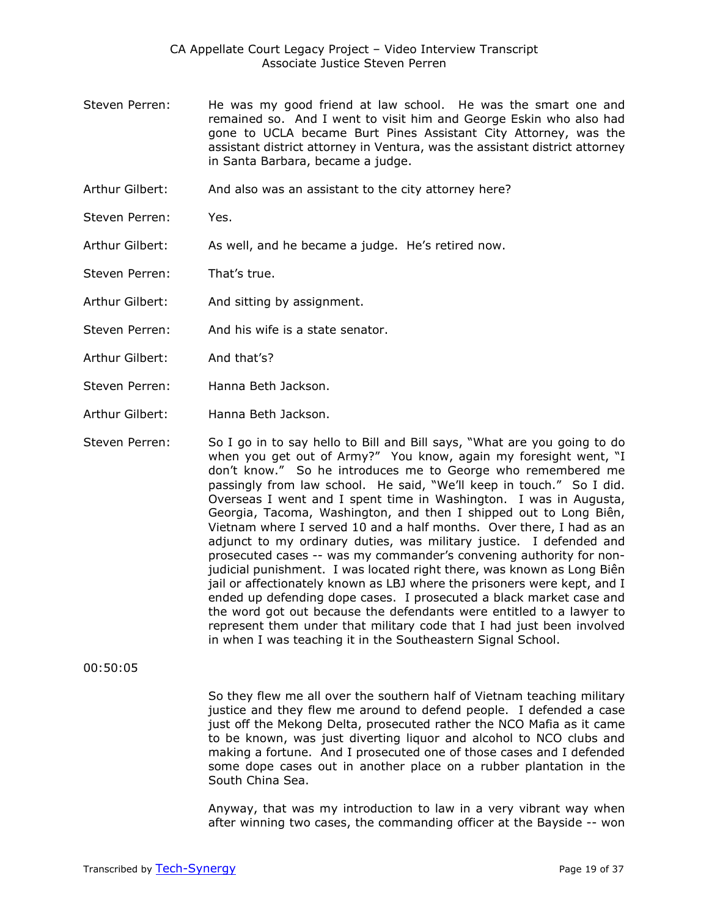- Steven Perren: He was my good friend at law school. He was the smart one and remained so. And I went to visit him and George Eskin who also had gone to UCLA became Burt Pines Assistant City Attorney, was the assistant district attorney in Ventura, was the assistant district attorney in Santa Barbara, became a judge.
- Arthur Gilbert: And also was an assistant to the city attorney here?
- Steven Perren: Yes.
- Arthur Gilbert: As well, and he became a judge. He's retired now.
- Steven Perren: That's true.
- Arthur Gilbert: And sitting by assignment.
- Steven Perren: And his wife is a state senator.
- Arthur Gilbert: And that's?
- Steven Perren: Hanna Beth Jackson.
- Arthur Gilbert: Hanna Beth Jackson.
- Steven Perren: So I go in to say hello to Bill and Bill says, "What are you going to do when you get out of Army?" You know, again my foresight went, "I don't know." So he introduces me to George who remembered me passingly from law school. He said, "We'll keep in touch." So I did. Overseas I went and I spent time in Washington. I was in Augusta, Georgia, Tacoma, Washington, and then I shipped out to Long Biên, Vietnam where I served 10 and a half months. Over there, I had as an adjunct to my ordinary duties, was military justice. I defended and prosecuted cases -- was my commander's convening authority for nonjudicial punishment. I was located right there, was known as Long Biên jail or affectionately known as LBJ where the prisoners were kept, and I ended up defending dope cases. I prosecuted a black market case and the word got out because the defendants were entitled to a lawyer to represent them under that military code that I had just been involved in when I was teaching it in the Southeastern Signal School.

00:50:05

So they flew me all over the southern half of Vietnam teaching military justice and they flew me around to defend people. I defended a case just off the Mekong Delta, prosecuted rather the NCO Mafia as it came to be known, was just diverting liquor and alcohol to NCO clubs and making a fortune. And I prosecuted one of those cases and I defended some dope cases out in another place on a rubber plantation in the South China Sea.

Anyway, that was my introduction to law in a very vibrant way when after winning two cases, the commanding officer at the Bayside -- won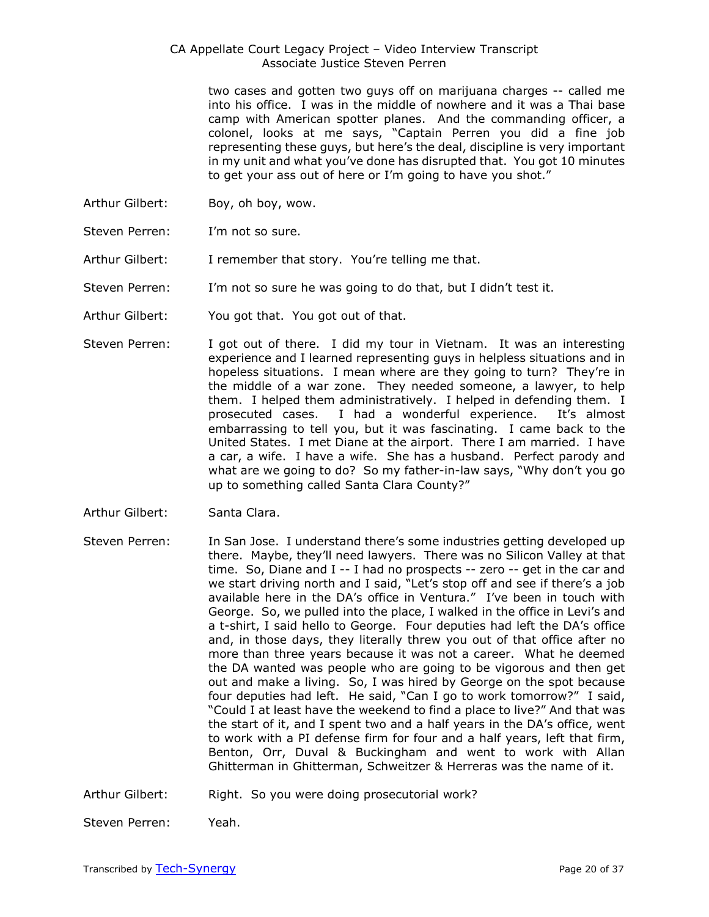two cases and gotten two guys off on marijuana charges -- called me into his office. I was in the middle of nowhere and it was a Thai base camp with American spotter planes. And the commanding officer, a colonel, looks at me says, "Captain Perren you did a fine job representing these guys, but here's the deal, discipline is very important in my unit and what you've done has disrupted that. You got 10 minutes to get your ass out of here or I'm going to have you shot."

- Arthur Gilbert: Boy, oh boy, wow.
- Steven Perren: I'm not so sure.
- Arthur Gilbert: I remember that story. You're telling me that.
- Steven Perren: I'm not so sure he was going to do that, but I didn't test it.
- Arthur Gilbert: You got that. You got out of that.
- Steven Perren: I got out of there. I did my tour in Vietnam. It was an interesting experience and I learned representing guys in helpless situations and in hopeless situations. I mean where are they going to turn? They're in the middle of a war zone. They needed someone, a lawyer, to help them. I helped them administratively. I helped in defending them. I prosecuted cases. I had a wonderful experience. It's almost embarrassing to tell you, but it was fascinating. I came back to the United States. I met Diane at the airport. There I am married. I have a car, a wife. I have a wife. She has a husband. Perfect parody and what are we going to do? So my father-in-law says, "Why don't you go up to something called Santa Clara County?"
- Arthur Gilbert: Santa Clara.
- Steven Perren: In San Jose. I understand there's some industries getting developed up there. Maybe, they'll need lawyers. There was no Silicon Valley at that time. So, Diane and I -- I had no prospects -- zero -- get in the car and we start driving north and I said, "Let's stop off and see if there's a job available here in the DA's office in Ventura." I've been in touch with George. So, we pulled into the place, I walked in the office in Levi's and a t-shirt, I said hello to George. Four deputies had left the DA's office and, in those days, they literally threw you out of that office after no more than three years because it was not a career. What he deemed the DA wanted was people who are going to be vigorous and then get out and make a living. So, I was hired by George on the spot because four deputies had left. He said, "Can I go to work tomorrow?" I said, "Could I at least have the weekend to find a place to live?" And that was the start of it, and I spent two and a half years in the DA's office, went to work with a PI defense firm for four and a half years, left that firm, Benton, Orr, Duval & Buckingham and went to work with Allan Ghitterman in Ghitterman, Schweitzer & Herreras was the name of it.
- Arthur Gilbert: Right. So you were doing prosecutorial work?

Steven Perren: Yeah.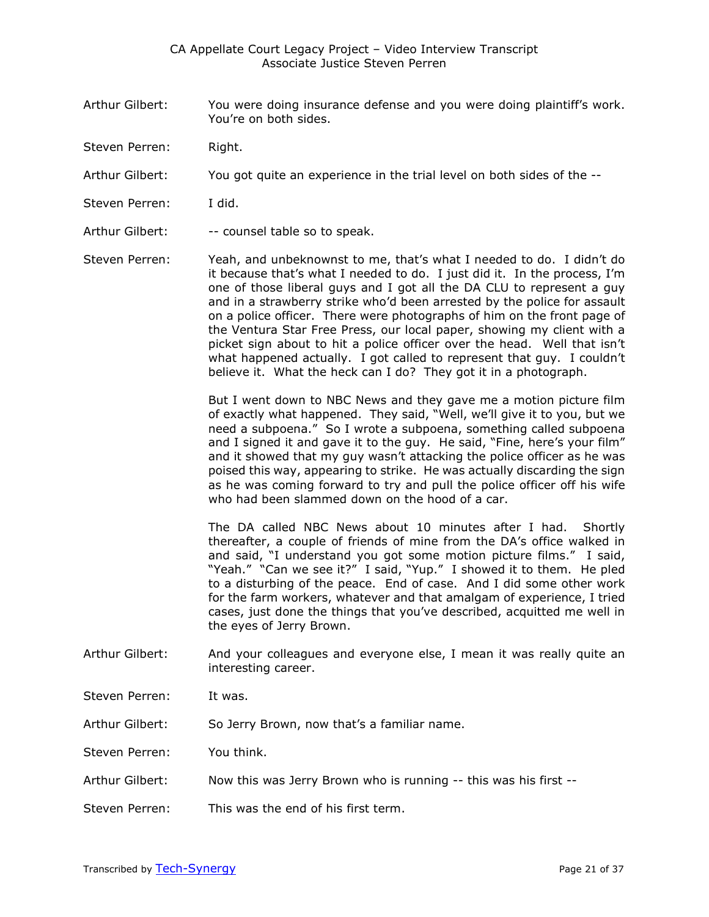- Arthur Gilbert: You were doing insurance defense and you were doing plaintiff's work. You're on both sides.
- Steven Perren: Right.
- Arthur Gilbert: You got quite an experience in the trial level on both sides of the --
- Steven Perren: I did.
- Arthur Gilbert: -- counsel table so to speak.

Steven Perren: Yeah, and unbeknownst to me, that's what I needed to do. I didn't do it because that's what I needed to do. I just did it. In the process, I'm one of those liberal guys and I got all the DA CLU to represent a guy and in a strawberry strike who'd been arrested by the police for assault on a police officer. There were photographs of him on the front page of the Ventura Star Free Press, our local paper, showing my client with a picket sign about to hit a police officer over the head. Well that isn't what happened actually. I got called to represent that guy. I couldn't believe it. What the heck can I do? They got it in a photograph.

> But I went down to NBC News and they gave me a motion picture film of exactly what happened. They said, "Well, we'll give it to you, but we need a subpoena." So I wrote a subpoena, something called subpoena and I signed it and gave it to the guy. He said, "Fine, here's your film" and it showed that my guy wasn't attacking the police officer as he was poised this way, appearing to strike. He was actually discarding the sign as he was coming forward to try and pull the police officer off his wife who had been slammed down on the hood of a car.

> The DA called NBC News about 10 minutes after I had. Shortly thereafter, a couple of friends of mine from the DA's office walked in and said, "I understand you got some motion picture films." I said, "Yeah." "Can we see it?" I said, "Yup." I showed it to them. He pled to a disturbing of the peace. End of case. And I did some other work for the farm workers, whatever and that amalgam of experience, I tried cases, just done the things that you've described, acquitted me well in the eyes of Jerry Brown.

- Arthur Gilbert: And your colleagues and everyone else, I mean it was really quite an interesting career.
- Steven Perren: It was.
- Arthur Gilbert: So Jerry Brown, now that's a familiar name.
- Steven Perren: You think.
- Arthur Gilbert: Now this was Jerry Brown who is running -- this was his first --
- Steven Perren: This was the end of his first term.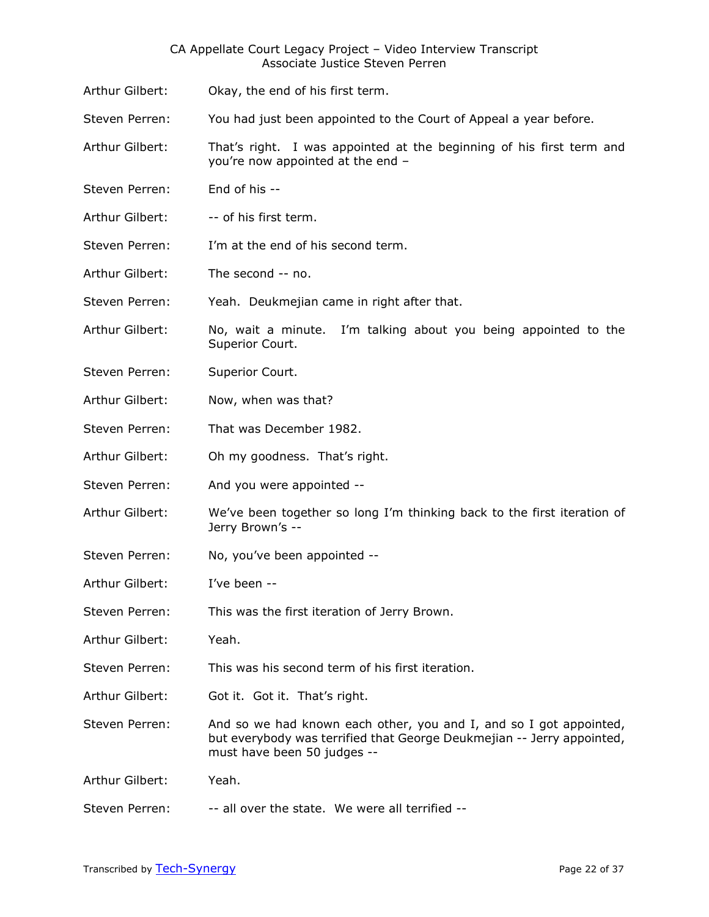Arthur Gilbert: Okay, the end of his first term.

Steven Perren: You had just been appointed to the Court of Appeal a year before.

- Arthur Gilbert: That's right. I was appointed at the beginning of his first term and you're now appointed at the end –
- Steven Perren: End of his --
- Arthur Gilbert: -- of his first term.
- Steven Perren: I'm at the end of his second term.
- Arthur Gilbert: The second -- no.
- Steven Perren: Yeah. Deukmejian came in right after that.
- Arthur Gilbert: No, wait a minute. I'm talking about you being appointed to the Superior Court.
- Steven Perren: Superior Court.
- Arthur Gilbert: Now, when was that?
- Steven Perren: That was December 1982.
- Arthur Gilbert: Oh my goodness. That's right.
- Steven Perren: And you were appointed --
- Arthur Gilbert: We've been together so long I'm thinking back to the first iteration of Jerry Brown's --
- Steven Perren: No, you've been appointed --
- Arthur Gilbert: I've been --
- Steven Perren: This was the first iteration of Jerry Brown.
- Arthur Gilbert: Yeah.
- Steven Perren: This was his second term of his first iteration.
- Arthur Gilbert: Got it. Got it. That's right.
- Steven Perren: And so we had known each other, you and I, and so I got appointed, but everybody was terrified that George Deukmejian -- Jerry appointed, must have been 50 judges --
- Arthur Gilbert: Yeah.
- Steven Perren: -- all over the state. We were all terrified --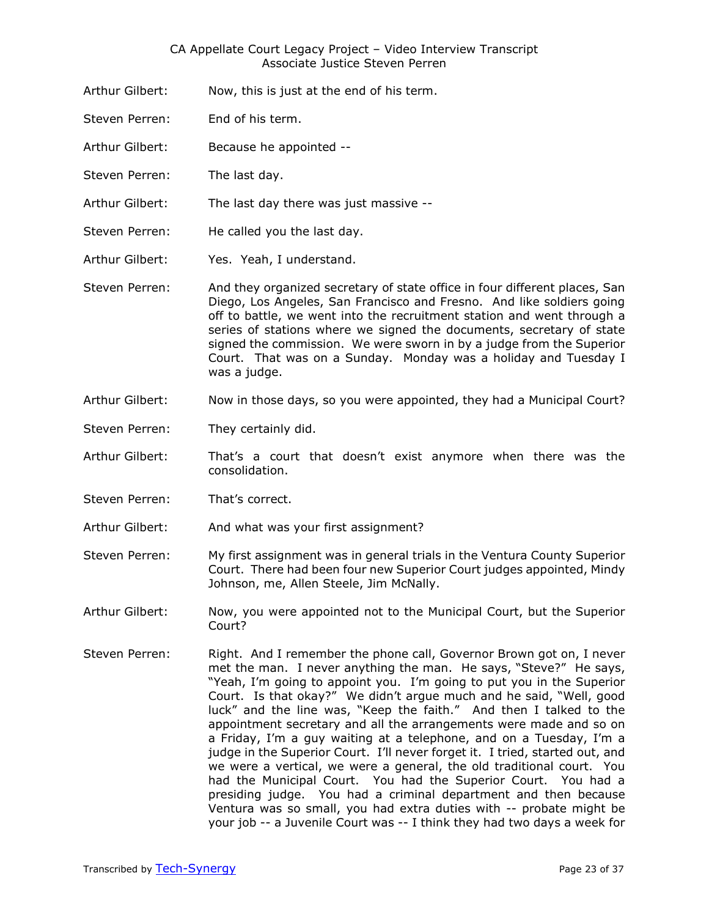- Arthur Gilbert: Now, this is just at the end of his term.
- Steven Perren: End of his term.
- Arthur Gilbert: Because he appointed --
- Steven Perren: The last day.
- Arthur Gilbert: The last day there was just massive --
- Steven Perren: He called you the last day.
- Arthur Gilbert: Yes. Yeah, I understand.
- Steven Perren: And they organized secretary of state office in four different places, San Diego, Los Angeles, San Francisco and Fresno. And like soldiers going off to battle, we went into the recruitment station and went through a series of stations where we signed the documents, secretary of state signed the commission. We were sworn in by a judge from the Superior Court. That was on a Sunday. Monday was a holiday and Tuesday I was a judge.
- Arthur Gilbert: Now in those days, so you were appointed, they had a Municipal Court?
- Steven Perren: They certainly did.
- Arthur Gilbert: That's a court that doesn't exist anymore when there was the consolidation.
- Steven Perren: That's correct.
- Arthur Gilbert: And what was your first assignment?
- Steven Perren: My first assignment was in general trials in the Ventura County Superior Court. There had been four new Superior Court judges appointed, Mindy Johnson, me, Allen Steele, Jim McNally.
- Arthur Gilbert: Now, you were appointed not to the Municipal Court, but the Superior Court?
- Steven Perren: Right. And I remember the phone call, Governor Brown got on, I never met the man. I never anything the man. He says, "Steve?" He says, "Yeah, I'm going to appoint you. I'm going to put you in the Superior Court. Is that okay?" We didn't argue much and he said, "Well, good luck" and the line was, "Keep the faith." And then I talked to the appointment secretary and all the arrangements were made and so on a Friday, I'm a guy waiting at a telephone, and on a Tuesday, I'm a judge in the Superior Court. I'll never forget it. I tried, started out, and we were a vertical, we were a general, the old traditional court. You had the Municipal Court. You had the Superior Court. You had a presiding judge. You had a criminal department and then because Ventura was so small, you had extra duties with -- probate might be your job -- a Juvenile Court was -- I think they had two days a week for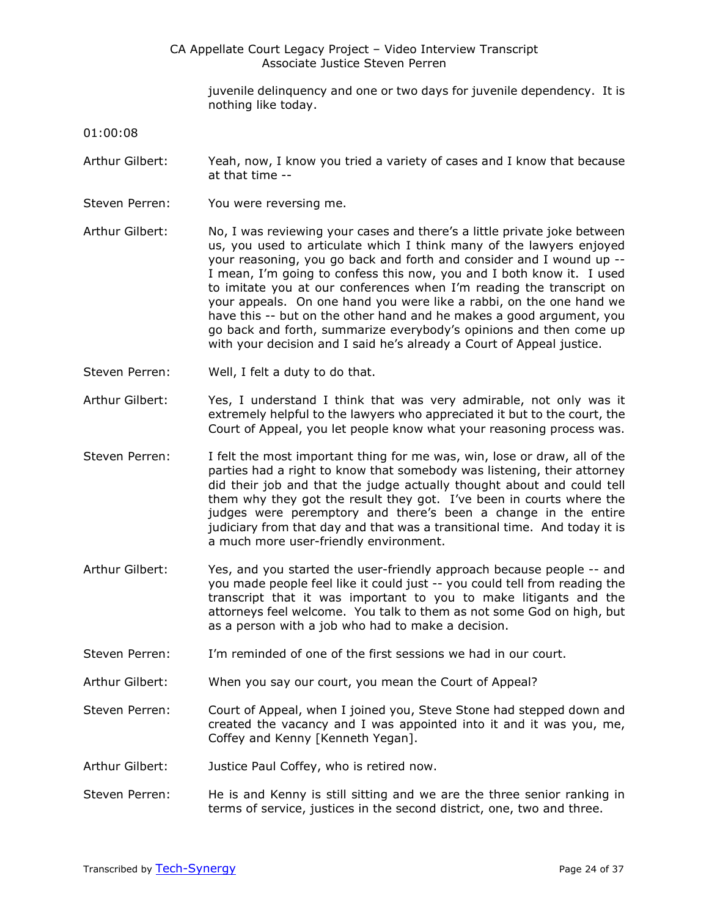juvenile delinquency and one or two days for juvenile dependency. It is nothing like today.

01:00:08

- Arthur Gilbert: Yeah, now, I know you tried a variety of cases and I know that because at that time --
- Steven Perren: You were reversing me.
- Arthur Gilbert: No, I was reviewing your cases and there's a little private joke between us, you used to articulate which I think many of the lawyers enjoyed your reasoning, you go back and forth and consider and I wound up -- I mean, I'm going to confess this now, you and I both know it. I used to imitate you at our conferences when I'm reading the transcript on your appeals. On one hand you were like a rabbi, on the one hand we have this -- but on the other hand and he makes a good argument, you go back and forth, summarize everybody's opinions and then come up with your decision and I said he's already a Court of Appeal justice.
- Steven Perren: Well, I felt a duty to do that.
- Arthur Gilbert: Yes, I understand I think that was very admirable, not only was it extremely helpful to the lawyers who appreciated it but to the court, the Court of Appeal, you let people know what your reasoning process was.
- Steven Perren: I felt the most important thing for me was, win, lose or draw, all of the parties had a right to know that somebody was listening, their attorney did their job and that the judge actually thought about and could tell them why they got the result they got. I've been in courts where the judges were peremptory and there's been a change in the entire judiciary from that day and that was a transitional time. And today it is a much more user-friendly environment.
- Arthur Gilbert: Yes, and you started the user-friendly approach because people -- and you made people feel like it could just -- you could tell from reading the transcript that it was important to you to make litigants and the attorneys feel welcome. You talk to them as not some God on high, but as a person with a job who had to make a decision.
- Steven Perren: I'm reminded of one of the first sessions we had in our court.
- Arthur Gilbert: When you say our court, you mean the Court of Appeal?
- Steven Perren: Court of Appeal, when I joined you, Steve Stone had stepped down and created the vacancy and I was appointed into it and it was you, me, Coffey and Kenny [Kenneth Yegan].
- Arthur Gilbert: Justice Paul Coffey, who is retired now.
- Steven Perren: He is and Kenny is still sitting and we are the three senior ranking in terms of service, justices in the second district, one, two and three.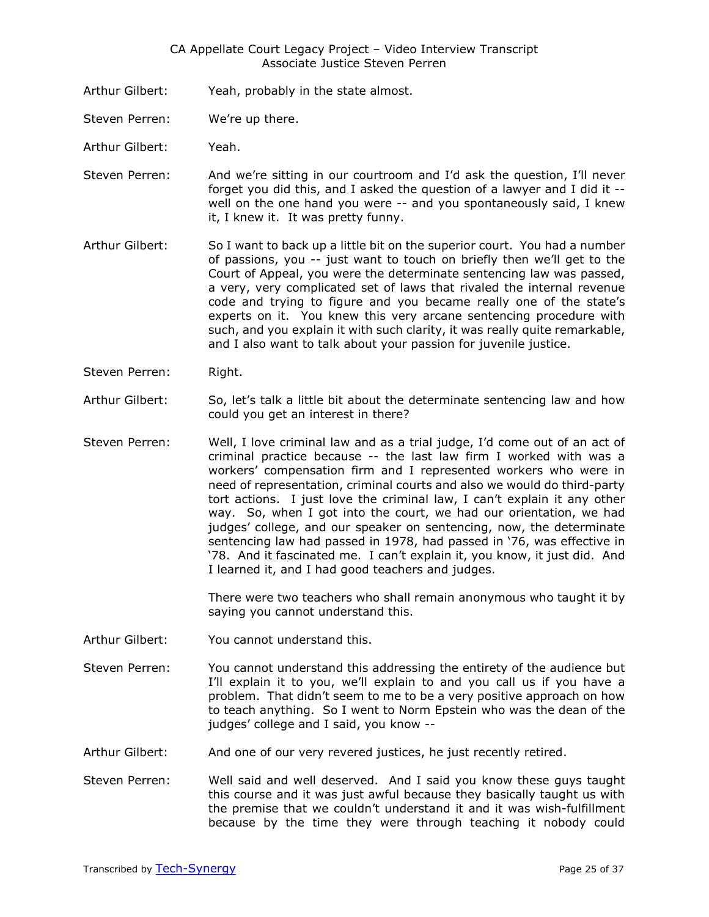- Arthur Gilbert: Yeah, probably in the state almost.
- Steven Perren: We're up there.
- Arthur Gilbert: Yeah.
- Steven Perren: And we're sitting in our courtroom and I'd ask the question, I'll never forget you did this, and I asked the question of a lawyer and I did it - well on the one hand you were -- and you spontaneously said, I knew it, I knew it. It was pretty funny.
- Arthur Gilbert: So I want to back up a little bit on the superior court. You had a number of passions, you -- just want to touch on briefly then we'll get to the Court of Appeal, you were the determinate sentencing law was passed, a very, very complicated set of laws that rivaled the internal revenue code and trying to figure and you became really one of the state's experts on it. You knew this very arcane sentencing procedure with such, and you explain it with such clarity, it was really quite remarkable, and I also want to talk about your passion for juvenile justice.
- Steven Perren: Right.
- Arthur Gilbert: So, let's talk a little bit about the determinate sentencing law and how could you get an interest in there?
- Steven Perren: Well, I love criminal law and as a trial judge, I'd come out of an act of criminal practice because -- the last law firm I worked with was a workers' compensation firm and I represented workers who were in need of representation, criminal courts and also we would do third-party tort actions. I just love the criminal law, I can't explain it any other way. So, when I got into the court, we had our orientation, we had judges' college, and our speaker on sentencing, now, the determinate sentencing law had passed in 1978, had passed in '76, was effective in '78. And it fascinated me. I can't explain it, you know, it just did. And I learned it, and I had good teachers and judges.

There were two teachers who shall remain anonymous who taught it by saying you cannot understand this.

- Arthur Gilbert: You cannot understand this.
- Steven Perren: You cannot understand this addressing the entirety of the audience but I'll explain it to you, we'll explain to and you call us if you have a problem. That didn't seem to me to be a very positive approach on how to teach anything. So I went to Norm Epstein who was the dean of the judges' college and I said, you know --
- Arthur Gilbert: And one of our very revered justices, he just recently retired.
- Steven Perren: Well said and well deserved. And I said you know these guys taught this course and it was just awful because they basically taught us with the premise that we couldn't understand it and it was wish-fulfillment because by the time they were through teaching it nobody could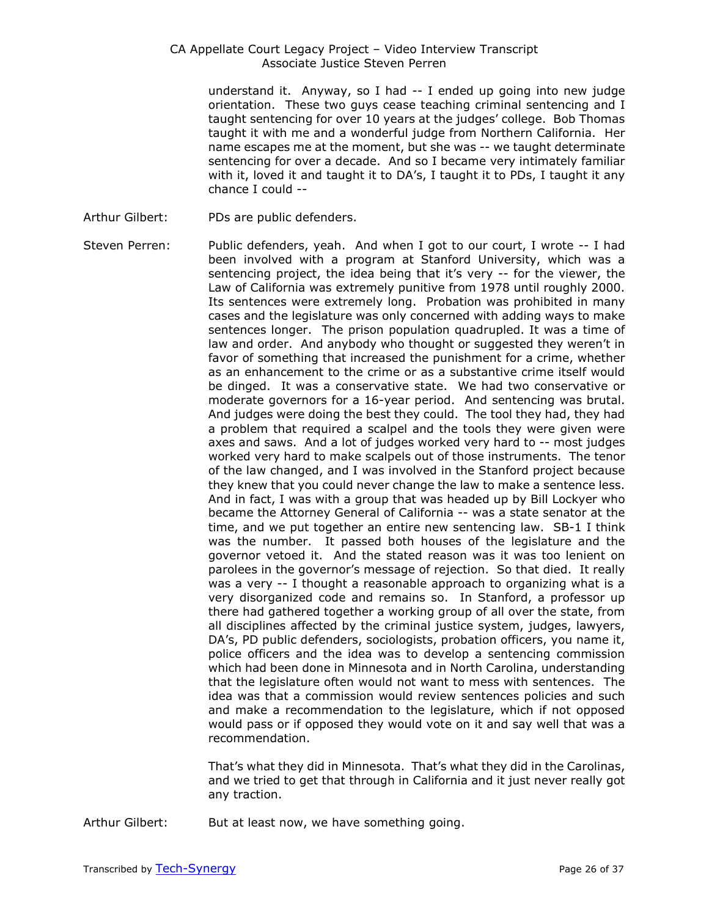understand it. Anyway, so I had -- I ended up going into new judge orientation. These two guys cease teaching criminal sentencing and I taught sentencing for over 10 years at the judges' college. Bob Thomas taught it with me and a wonderful judge from Northern California. Her name escapes me at the moment, but she was -- we taught determinate sentencing for over a decade. And so I became very intimately familiar with it, loved it and taught it to DA's, I taught it to PDs, I taught it any chance I could --

- Arthur Gilbert: PDs are public defenders.
- Steven Perren: Public defenders, yeah. And when I got to our court, I wrote -- I had been involved with a program at Stanford University, which was a sentencing project, the idea being that it's very -- for the viewer, the Law of California was extremely punitive from 1978 until roughly 2000. Its sentences were extremely long. Probation was prohibited in many cases and the legislature was only concerned with adding ways to make sentences longer. The prison population quadrupled. It was a time of law and order. And anybody who thought or suggested they weren't in favor of something that increased the punishment for a crime, whether as an enhancement to the crime or as a substantive crime itself would be dinged. It was a conservative state. We had two conservative or moderate governors for a 16-year period. And sentencing was brutal. And judges were doing the best they could. The tool they had, they had a problem that required a scalpel and the tools they were given were axes and saws. And a lot of judges worked very hard to -- most judges worked very hard to make scalpels out of those instruments. The tenor of the law changed, and I was involved in the Stanford project because they knew that you could never change the law to make a sentence less. And in fact, I was with a group that was headed up by Bill Lockyer who became the Attorney General of California -- was a state senator at the time, and we put together an entire new sentencing law. SB-1 I think was the number. It passed both houses of the legislature and the governor vetoed it. And the stated reason was it was too lenient on parolees in the governor's message of rejection. So that died. It really was a very -- I thought a reasonable approach to organizing what is a very disorganized code and remains so. In Stanford, a professor up there had gathered together a working group of all over the state, from all disciplines affected by the criminal justice system, judges, lawyers, DA's, PD public defenders, sociologists, probation officers, you name it, police officers and the idea was to develop a sentencing commission which had been done in Minnesota and in North Carolina, understanding that the legislature often would not want to mess with sentences. The idea was that a commission would review sentences policies and such and make a recommendation to the legislature, which if not opposed would pass or if opposed they would vote on it and say well that was a recommendation.

That's what they did in Minnesota. That's what they did in the Carolinas, and we tried to get that through in California and it just never really got any traction.

Arthur Gilbert: But at least now, we have something going.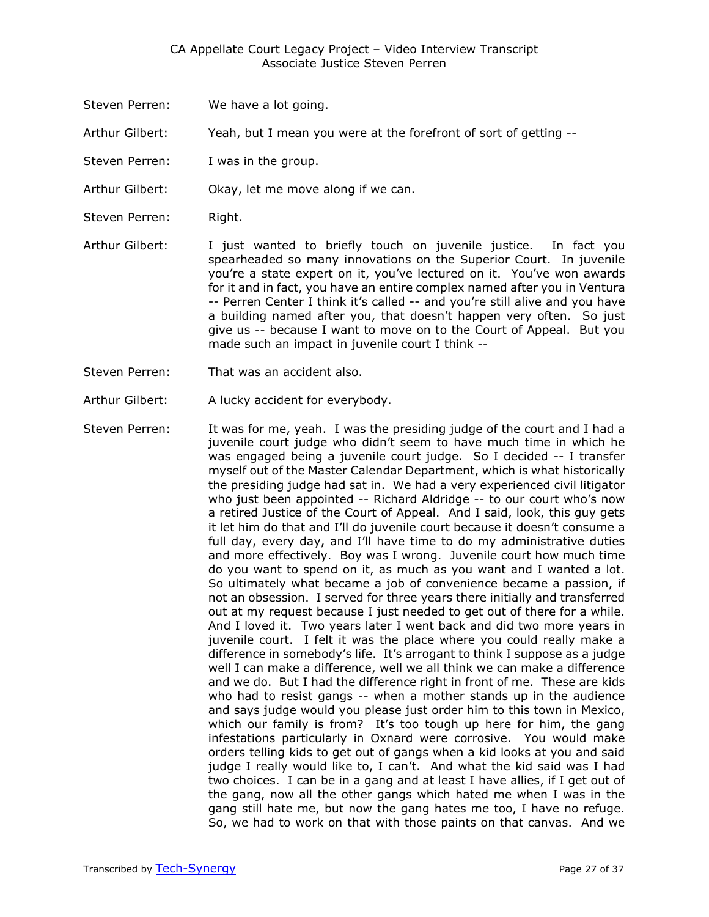- Steven Perren: We have a lot going.
- Arthur Gilbert: Yeah, but I mean you were at the forefront of sort of getting --
- Steven Perren: I was in the group.
- Arthur Gilbert: Okay, let me move along if we can.
- Steven Perren: Right.
- Arthur Gilbert: I just wanted to briefly touch on juvenile justice. In fact you spearheaded so many innovations on the Superior Court. In juvenile you're a state expert on it, you've lectured on it. You've won awards for it and in fact, you have an entire complex named after you in Ventura -- Perren Center I think it's called -- and you're still alive and you have a building named after you, that doesn't happen very often. So just give us -- because I want to move on to the Court of Appeal. But you made such an impact in juvenile court I think --
- Steven Perren: That was an accident also.
- Arthur Gilbert: A lucky accident for everybody.
- Steven Perren: It was for me, yeah. I was the presiding judge of the court and I had a juvenile court judge who didn't seem to have much time in which he was engaged being a juvenile court judge. So I decided -- I transfer myself out of the Master Calendar Department, which is what historically the presiding judge had sat in. We had a very experienced civil litigator who just been appointed -- Richard Aldridge -- to our court who's now a retired Justice of the Court of Appeal. And I said, look, this guy gets it let him do that and I'll do juvenile court because it doesn't consume a full day, every day, and I'll have time to do my administrative duties and more effectively. Boy was I wrong. Juvenile court how much time do you want to spend on it, as much as you want and I wanted a lot. So ultimately what became a job of convenience became a passion, if not an obsession. I served for three years there initially and transferred out at my request because I just needed to get out of there for a while. And I loved it. Two years later I went back and did two more years in juvenile court. I felt it was the place where you could really make a difference in somebody's life. It's arrogant to think I suppose as a judge well I can make a difference, well we all think we can make a difference and we do. But I had the difference right in front of me. These are kids who had to resist gangs -- when a mother stands up in the audience and says judge would you please just order him to this town in Mexico, which our family is from? It's too tough up here for him, the gang infestations particularly in Oxnard were corrosive. You would make orders telling kids to get out of gangs when a kid looks at you and said judge I really would like to, I can't. And what the kid said was I had two choices. I can be in a gang and at least I have allies, if I get out of the gang, now all the other gangs which hated me when I was in the gang still hate me, but now the gang hates me too, I have no refuge. So, we had to work on that with those paints on that canvas. And we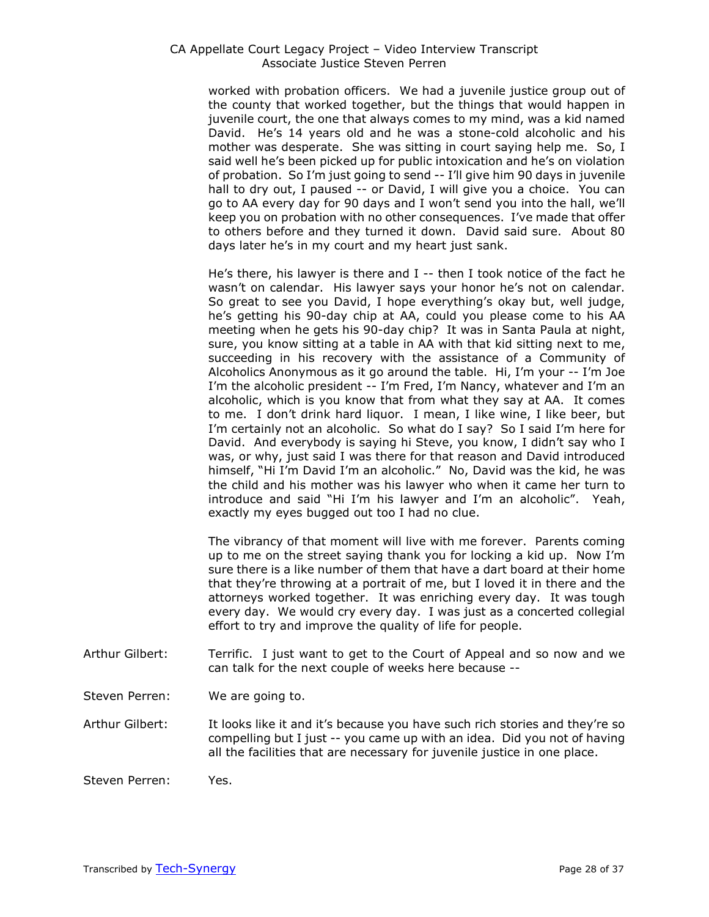worked with probation officers. We had a juvenile justice group out of the county that worked together, but the things that would happen in juvenile court, the one that always comes to my mind, was a kid named David. He's 14 years old and he was a stone-cold alcoholic and his mother was desperate. She was sitting in court saying help me. So, I said well he's been picked up for public intoxication and he's on violation of probation. So I'm just going to send -- I'll give him 90 days in juvenile hall to dry out, I paused -- or David, I will give you a choice. You can go to AA every day for 90 days and I won't send you into the hall, we'll keep you on probation with no other consequences. I've made that offer to others before and they turned it down. David said sure. About 80 days later he's in my court and my heart just sank.

He's there, his lawyer is there and I -- then I took notice of the fact he wasn't on calendar. His lawyer says your honor he's not on calendar. So great to see you David, I hope everything's okay but, well judge, he's getting his 90-day chip at AA, could you please come to his AA meeting when he gets his 90-day chip? It was in Santa Paula at night, sure, you know sitting at a table in AA with that kid sitting next to me, succeeding in his recovery with the assistance of a Community of Alcoholics Anonymous as it go around the table. Hi, I'm your -- I'm Joe I'm the alcoholic president -- I'm Fred, I'm Nancy, whatever and I'm an alcoholic, which is you know that from what they say at AA. It comes to me. I don't drink hard liquor. I mean, I like wine, I like beer, but I'm certainly not an alcoholic. So what do I say? So I said I'm here for David. And everybody is saying hi Steve, you know, I didn't say who I was, or why, just said I was there for that reason and David introduced himself, "Hi I'm David I'm an alcoholic." No, David was the kid, he was the child and his mother was his lawyer who when it came her turn to introduce and said "Hi I'm his lawyer and I'm an alcoholic". Yeah, exactly my eyes bugged out too I had no clue.

The vibrancy of that moment will live with me forever. Parents coming up to me on the street saying thank you for locking a kid up. Now I'm sure there is a like number of them that have a dart board at their home that they're throwing at a portrait of me, but I loved it in there and the attorneys worked together. It was enriching every day. It was tough every day. We would cry every day. I was just as a concerted collegial effort to try and improve the quality of life for people.

- Arthur Gilbert: Terrific. I just want to get to the Court of Appeal and so now and we can talk for the next couple of weeks here because --
- Steven Perren: We are going to.

Arthur Gilbert: It looks like it and it's because you have such rich stories and they're so compelling but I just -- you came up with an idea. Did you not of having all the facilities that are necessary for juvenile justice in one place.

Steven Perren: Yes.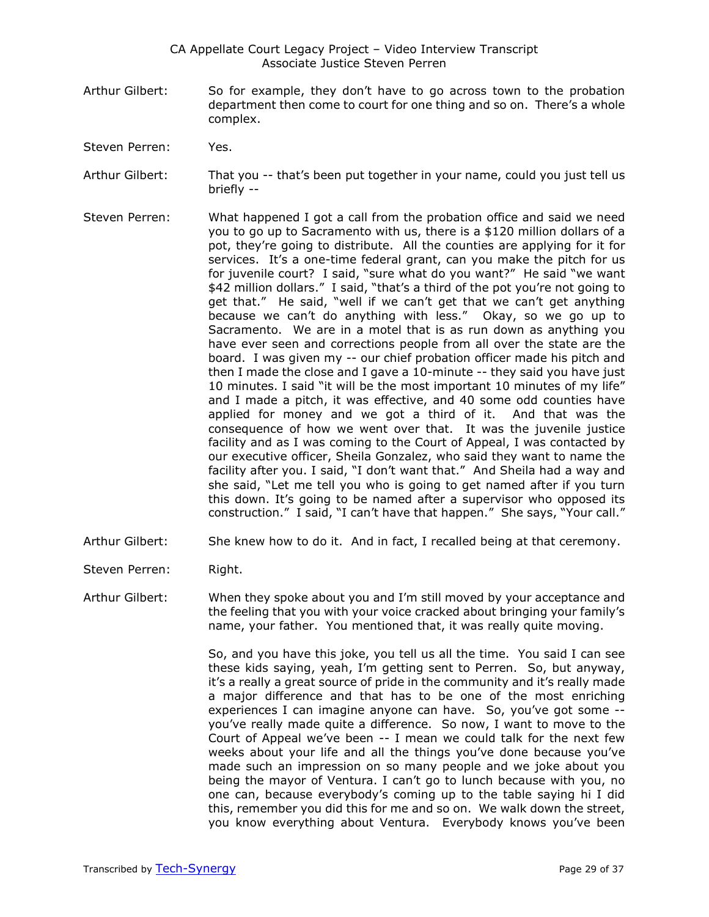- Arthur Gilbert: So for example, they don't have to go across town to the probation department then come to court for one thing and so on. There's a whole complex.
- Steven Perren: Yes.
- Arthur Gilbert: That you -- that's been put together in your name, could you just tell us briefly --
- Steven Perren: What happened I got a call from the probation office and said we need you to go up to Sacramento with us, there is a \$120 million dollars of a pot, they're going to distribute. All the counties are applying for it for services. It's a one-time federal grant, can you make the pitch for us for juvenile court? I said, "sure what do you want?" He said "we want \$42 million dollars." I said, "that's a third of the pot you're not going to get that." He said, "well if we can't get that we can't get anything because we can't do anything with less." Okay, so we go up to Sacramento. We are in a motel that is as run down as anything you have ever seen and corrections people from all over the state are the board. I was given my -- our chief probation officer made his pitch and then I made the close and I gave a 10-minute -- they said you have just 10 minutes. I said "it will be the most important 10 minutes of my life" and I made a pitch, it was effective, and 40 some odd counties have applied for money and we got a third of it. And that was the consequence of how we went over that. It was the juvenile justice facility and as I was coming to the Court of Appeal, I was contacted by our executive officer, Sheila Gonzalez, who said they want to name the facility after you. I said, "I don't want that." And Sheila had a way and she said, "Let me tell you who is going to get named after if you turn this down. It's going to be named after a supervisor who opposed its construction." I said, "I can't have that happen." She says, "Your call."
- Arthur Gilbert: She knew how to do it. And in fact, I recalled being at that ceremony.
- Steven Perren: Right.
- Arthur Gilbert: When they spoke about you and I'm still moved by your acceptance and the feeling that you with your voice cracked about bringing your family's name, your father. You mentioned that, it was really quite moving.

So, and you have this joke, you tell us all the time. You said I can see these kids saying, yeah, I'm getting sent to Perren. So, but anyway, it's a really a great source of pride in the community and it's really made a major difference and that has to be one of the most enriching experiences I can imagine anyone can have. So, you've got some - you've really made quite a difference. So now, I want to move to the Court of Appeal we've been -- I mean we could talk for the next few weeks about your life and all the things you've done because you've made such an impression on so many people and we joke about you being the mayor of Ventura. I can't go to lunch because with you, no one can, because everybody's coming up to the table saying hi I did this, remember you did this for me and so on. We walk down the street, you know everything about Ventura. Everybody knows you've been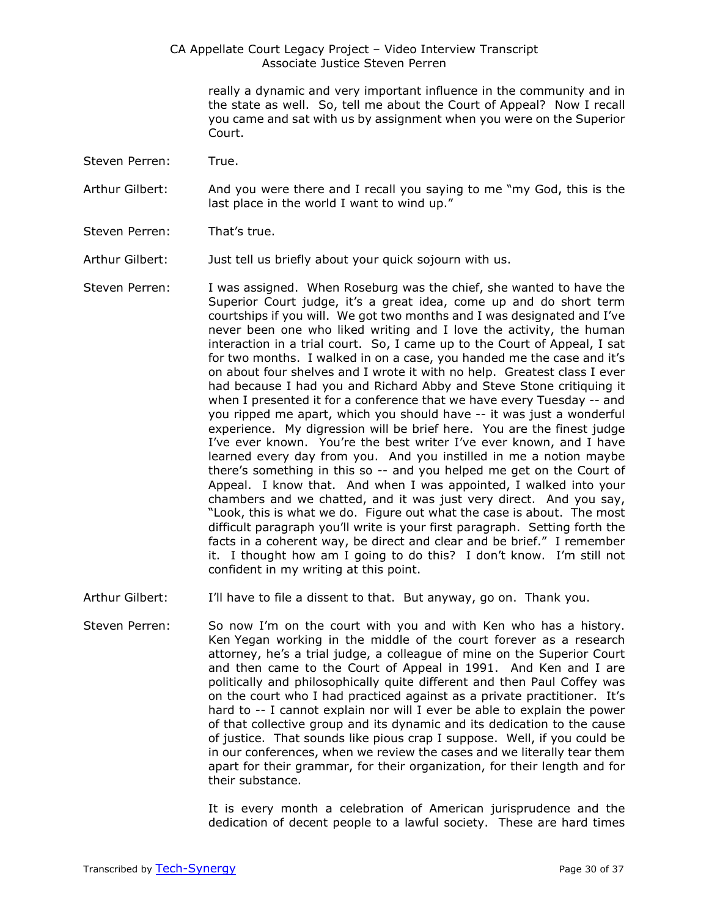> really a dynamic and very important influence in the community and in the state as well. So, tell me about the Court of Appeal? Now I recall you came and sat with us by assignment when you were on the Superior Court.

Steven Perren: True.

Arthur Gilbert: And you were there and I recall you saying to me "my God, this is the last place in the world I want to wind up."

Steven Perren: That's true.

Arthur Gilbert: Just tell us briefly about your quick sojourn with us.

- Steven Perren: I was assigned. When Roseburg was the chief, she wanted to have the Superior Court judge, it's a great idea, come up and do short term courtships if you will. We got two months and I was designated and I've never been one who liked writing and I love the activity, the human interaction in a trial court. So, I came up to the Court of Appeal, I sat for two months. I walked in on a case, you handed me the case and it's on about four shelves and I wrote it with no help. Greatest class I ever had because I had you and Richard Abby and Steve Stone critiquing it when I presented it for a conference that we have every Tuesday -- and you ripped me apart, which you should have -- it was just a wonderful experience. My digression will be brief here. You are the finest judge I've ever known. You're the best writer I've ever known, and I have learned every day from you. And you instilled in me a notion maybe there's something in this so -- and you helped me get on the Court of Appeal. I know that. And when I was appointed, I walked into your chambers and we chatted, and it was just very direct. And you say, "Look, this is what we do. Figure out what the case is about. The most difficult paragraph you'll write is your first paragraph. Setting forth the facts in a coherent way, be direct and clear and be brief." I remember it. I thought how am I going to do this? I don't know. I'm still not confident in my writing at this point.
- Arthur Gilbert: I'll have to file a dissent to that. But anyway, go on. Thank you.
- Steven Perren: So now I'm on the court with you and with Ken who has a history. Ken Yegan working in the middle of the court forever as a research attorney, he's a trial judge, a colleague of mine on the Superior Court and then came to the Court of Appeal in 1991. And Ken and I are politically and philosophically quite different and then Paul Coffey was on the court who I had practiced against as a private practitioner. It's hard to -- I cannot explain nor will I ever be able to explain the power of that collective group and its dynamic and its dedication to the cause of justice. That sounds like pious crap I suppose. Well, if you could be in our conferences, when we review the cases and we literally tear them apart for their grammar, for their organization, for their length and for their substance.

It is every month a celebration of American jurisprudence and the dedication of decent people to a lawful society. These are hard times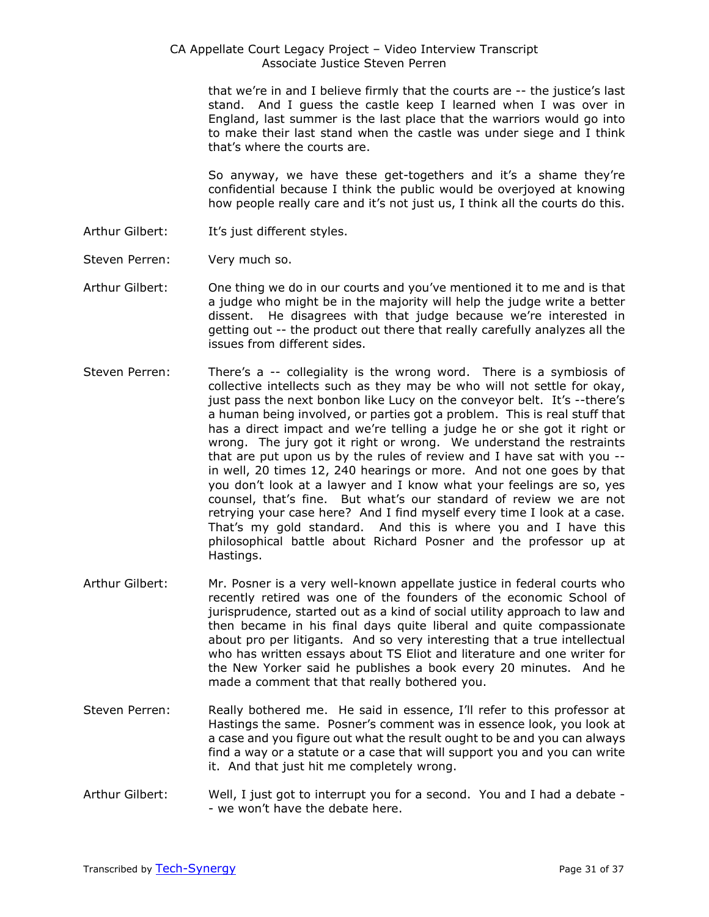that we're in and I believe firmly that the courts are -- the justice's last stand. And I guess the castle keep I learned when I was over in England, last summer is the last place that the warriors would go into to make their last stand when the castle was under siege and I think that's where the courts are.

So anyway, we have these get-togethers and it's a shame they're confidential because I think the public would be overjoyed at knowing how people really care and it's not just us, I think all the courts do this.

- Arthur Gilbert: It's just different styles.
- Steven Perren: Very much so.
- Arthur Gilbert: One thing we do in our courts and you've mentioned it to me and is that a judge who might be in the majority will help the judge write a better dissent. He disagrees with that judge because we're interested in getting out -- the product out there that really carefully analyzes all the issues from different sides.
- Steven Perren: There's a -- collegiality is the wrong word. There is a symbiosis of collective intellects such as they may be who will not settle for okay, just pass the next bonbon like Lucy on the conveyor belt. It's --there's a human being involved, or parties got a problem. This is real stuff that has a direct impact and we're telling a judge he or she got it right or wrong. The jury got it right or wrong. We understand the restraints that are put upon us by the rules of review and I have sat with you - in well, 20 times 12, 240 hearings or more. And not one goes by that you don't look at a lawyer and I know what your feelings are so, yes counsel, that's fine. But what's our standard of review we are not retrying your case here? And I find myself every time I look at a case. That's my gold standard. And this is where you and I have this philosophical battle about Richard Posner and the professor up at Hastings.
- Arthur Gilbert: Mr. Posner is a very well-known appellate justice in federal courts who recently retired was one of the founders of the economic School of jurisprudence, started out as a kind of social utility approach to law and then became in his final days quite liberal and quite compassionate about pro per litigants. And so very interesting that a true intellectual who has written essays about TS Eliot and literature and one writer for the New Yorker said he publishes a book every 20 minutes. And he made a comment that that really bothered you.
- Steven Perren: Really bothered me. He said in essence, I'll refer to this professor at Hastings the same. Posner's comment was in essence look, you look at a case and you figure out what the result ought to be and you can always find a way or a statute or a case that will support you and you can write it. And that just hit me completely wrong.
- Arthur Gilbert: Well, I just got to interrupt you for a second. You and I had a debate - we won't have the debate here.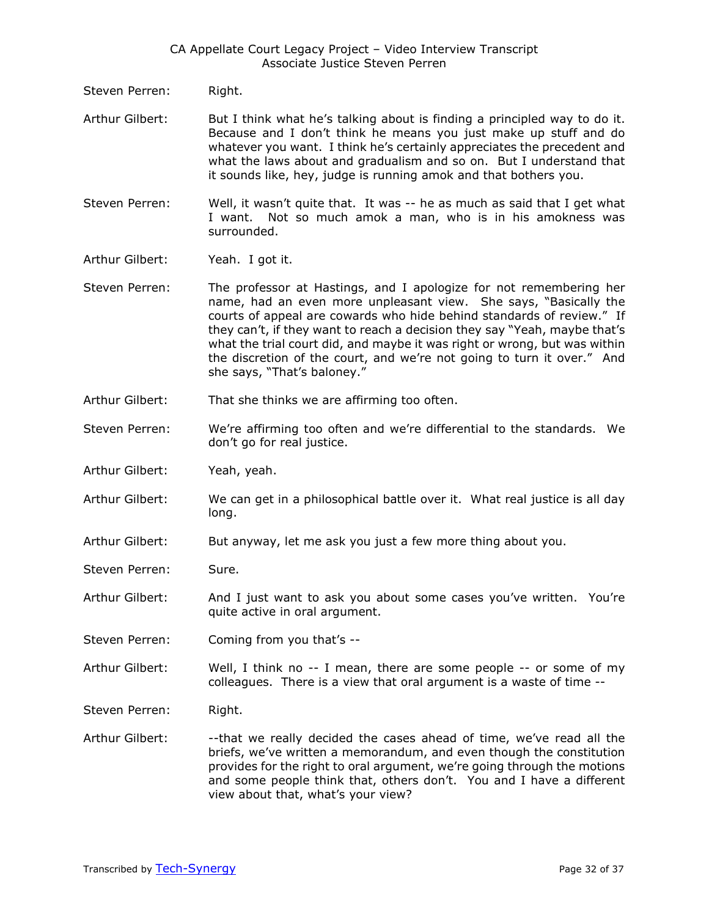- Steven Perren: Right.
- Arthur Gilbert: But I think what he's talking about is finding a principled way to do it. Because and I don't think he means you just make up stuff and do whatever you want. I think he's certainly appreciates the precedent and what the laws about and gradualism and so on. But I understand that it sounds like, hey, judge is running amok and that bothers you.
- Steven Perren: Well, it wasn't quite that. It was -- he as much as said that I get what I want. Not so much amok a man, who is in his amokness was surrounded.
- Arthur Gilbert: Yeah. I got it.
- Steven Perren: The professor at Hastings, and I apologize for not remembering her name, had an even more unpleasant view. She says, "Basically the courts of appeal are cowards who hide behind standards of review." If they can't, if they want to reach a decision they say "Yeah, maybe that's what the trial court did, and maybe it was right or wrong, but was within the discretion of the court, and we're not going to turn it over." And she says, "That's baloney."
- Arthur Gilbert: That she thinks we are affirming too often.
- Steven Perren: We're affirming too often and we're differential to the standards. We don't go for real justice.
- Arthur Gilbert: Yeah, yeah.
- Arthur Gilbert: We can get in a philosophical battle over it. What real justice is all day long.
- Arthur Gilbert: But anyway, let me ask you just a few more thing about you.
- Steven Perren: Sure.
- Arthur Gilbert: And I just want to ask you about some cases you've written. You're quite active in oral argument.
- Steven Perren: Coming from you that's --
- Arthur Gilbert: Well, I think no -- I mean, there are some people -- or some of my colleagues. There is a view that oral argument is a waste of time --
- Steven Perren: Right.
- Arthur Gilbert: --- that we really decided the cases ahead of time, we've read all the briefs, we've written a memorandum, and even though the constitution provides for the right to oral argument, we're going through the motions and some people think that, others don't. You and I have a different view about that, what's your view?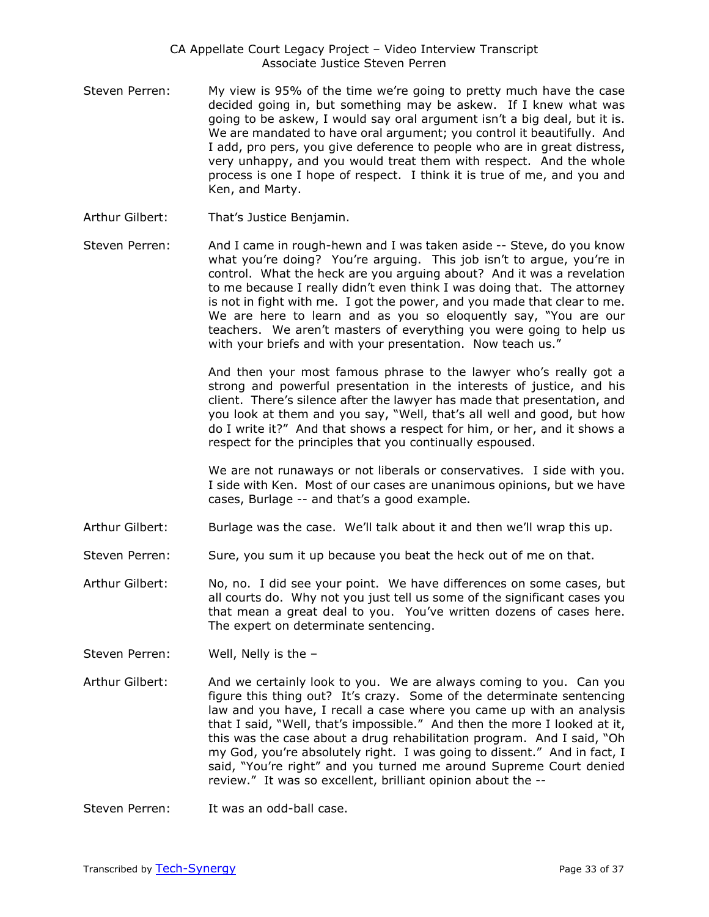- Steven Perren: My view is 95% of the time we're going to pretty much have the case decided going in, but something may be askew. If I knew what was going to be askew, I would say oral argument isn't a big deal, but it is. We are mandated to have oral argument; you control it beautifully. And I add, pro pers, you give deference to people who are in great distress, very unhappy, and you would treat them with respect. And the whole process is one I hope of respect. I think it is true of me, and you and Ken, and Marty.
- Arthur Gilbert: That's Justice Benjamin.
- Steven Perren: And I came in rough-hewn and I was taken aside -- Steve, do you know what you're doing? You're arguing. This job isn't to argue, you're in control. What the heck are you arguing about? And it was a revelation to me because I really didn't even think I was doing that. The attorney is not in fight with me. I got the power, and you made that clear to me. We are here to learn and as you so eloquently say, "You are our teachers. We aren't masters of everything you were going to help us with your briefs and with your presentation. Now teach us."

And then your most famous phrase to the lawyer who's really got a strong and powerful presentation in the interests of justice, and his client. There's silence after the lawyer has made that presentation, and you look at them and you say, "Well, that's all well and good, but how do I write it?" And that shows a respect for him, or her, and it shows a respect for the principles that you continually espoused.

We are not runaways or not liberals or conservatives. I side with you. I side with Ken. Most of our cases are unanimous opinions, but we have cases, Burlage -- and that's a good example.

- Arthur Gilbert: Burlage was the case. We'll talk about it and then we'll wrap this up.
- Steven Perren: Sure, you sum it up because you beat the heck out of me on that.
- Arthur Gilbert: No, no. I did see your point. We have differences on some cases, but all courts do. Why not you just tell us some of the significant cases you that mean a great deal to you. You've written dozens of cases here. The expert on determinate sentencing.
- Steven Perren: Well, Nelly is the –
- Arthur Gilbert: And we certainly look to you. We are always coming to you. Can you figure this thing out? It's crazy. Some of the determinate sentencing law and you have, I recall a case where you came up with an analysis that I said, "Well, that's impossible." And then the more I looked at it, this was the case about a drug rehabilitation program. And I said, "Oh my God, you're absolutely right. I was going to dissent." And in fact, I said, "You're right" and you turned me around Supreme Court denied review." It was so excellent, brilliant opinion about the --
- Steven Perren: It was an odd-ball case.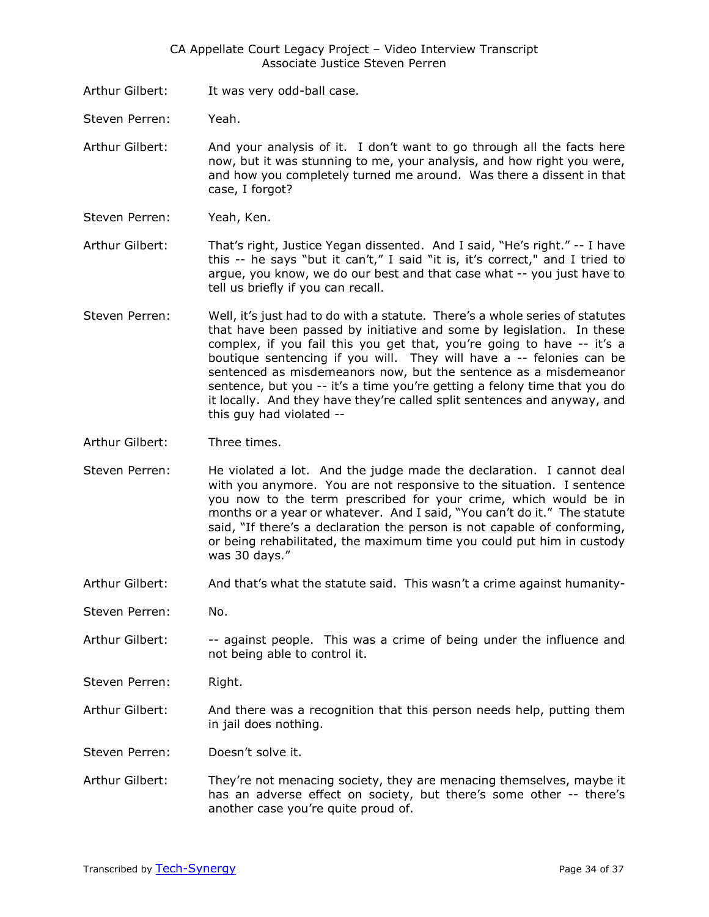- Arthur Gilbert: It was very odd-ball case.
- Steven Perren: Yeah.

Arthur Gilbert: And your analysis of it. I don't want to go through all the facts here now, but it was stunning to me, your analysis, and how right you were, and how you completely turned me around. Was there a dissent in that case, I forgot?

Steven Perren: Yeah, Ken.

Arthur Gilbert: That's right, Justice Yegan dissented. And I said, "He's right." -- I have this -- he says "but it can't," I said "it is, it's correct," and I tried to argue, you know, we do our best and that case what -- you just have to tell us briefly if you can recall.

- Steven Perren: Well, it's just had to do with a statute. There's a whole series of statutes that have been passed by initiative and some by legislation. In these complex, if you fail this you get that, you're going to have -- it's a boutique sentencing if you will. They will have a -- felonies can be sentenced as misdemeanors now, but the sentence as a misdemeanor sentence, but you -- it's a time you're getting a felony time that you do it locally. And they have they're called split sentences and anyway, and this guy had violated --
- Arthur Gilbert: Three times.
- Steven Perren: He violated a lot. And the judge made the declaration. I cannot deal with you anymore. You are not responsive to the situation. I sentence you now to the term prescribed for your crime, which would be in months or a year or whatever. And I said, "You can't do it." The statute said, "If there's a declaration the person is not capable of conforming, or being rehabilitated, the maximum time you could put him in custody was 30 days."
- Arthur Gilbert: And that's what the statute said. This wasn't a crime against humanity-
- Steven Perren: No.
- Arthur Gilbert: -- against people. This was a crime of being under the influence and not being able to control it.
- Steven Perren: Right.
- Arthur Gilbert: And there was a recognition that this person needs help, putting them in jail does nothing.
- Steven Perren: Doesn't solve it.
- Arthur Gilbert: They're not menacing society, they are menacing themselves, maybe it has an adverse effect on society, but there's some other -- there's another case you're quite proud of.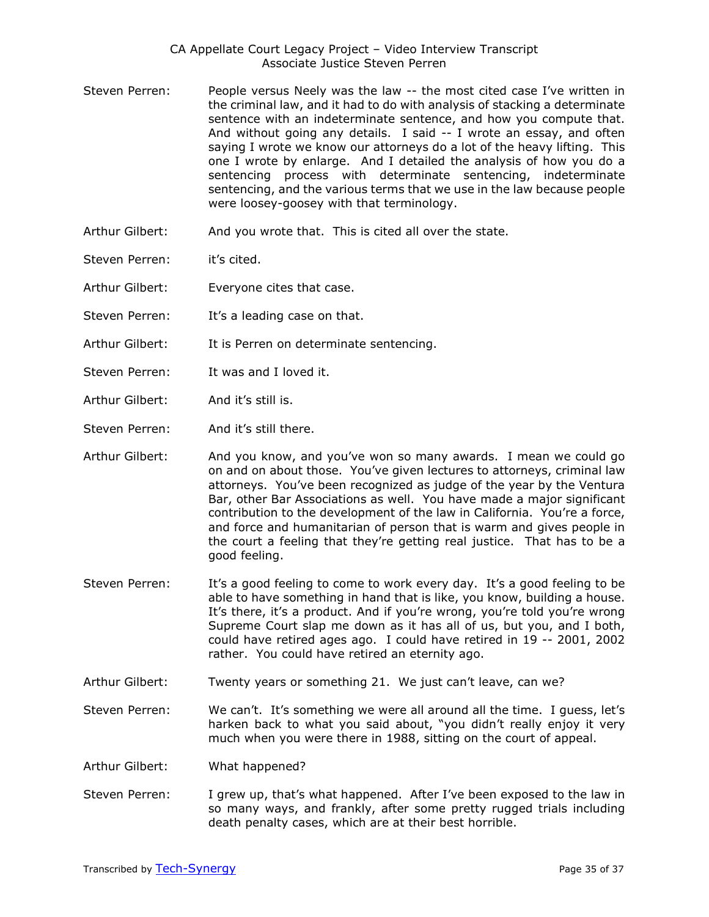- Steven Perren: People versus Neely was the law -- the most cited case I've written in the criminal law, and it had to do with analysis of stacking a determinate sentence with an indeterminate sentence, and how you compute that. And without going any details. I said -- I wrote an essay, and often saying I wrote we know our attorneys do a lot of the heavy lifting. This one I wrote by enlarge. And I detailed the analysis of how you do a sentencing process with determinate sentencing, indeterminate sentencing, and the various terms that we use in the law because people were loosey-goosey with that terminology.
- Arthur Gilbert: And you wrote that. This is cited all over the state.
- Steven Perren: it's cited.
- Arthur Gilbert: Everyone cites that case.
- Steven Perren: It's a leading case on that.
- Arthur Gilbert: It is Perren on determinate sentencing.
- Steven Perren: It was and I loved it.
- Arthur Gilbert: And it's still is.
- Steven Perren: And it's still there.

Arthur Gilbert: And you know, and you've won so many awards. I mean we could go on and on about those. You've given lectures to attorneys, criminal law attorneys. You've been recognized as judge of the year by the Ventura Bar, other Bar Associations as well. You have made a major significant contribution to the development of the law in California. You're a force, and force and humanitarian of person that is warm and gives people in the court a feeling that they're getting real justice. That has to be a good feeling.

- Steven Perren: It's a good feeling to come to work every day. It's a good feeling to be able to have something in hand that is like, you know, building a house. It's there, it's a product. And if you're wrong, you're told you're wrong Supreme Court slap me down as it has all of us, but you, and I both, could have retired ages ago. I could have retired in 19 -- 2001, 2002 rather. You could have retired an eternity ago.
- Arthur Gilbert: Twenty years or something 21. We just can't leave, can we?
- Steven Perren: We can't. It's something we were all around all the time. I guess, let's harken back to what you said about, "you didn't really enjoy it very much when you were there in 1988, sitting on the court of appeal.
- Arthur Gilbert: What happened?
- Steven Perren: I grew up, that's what happened. After I've been exposed to the law in so many ways, and frankly, after some pretty rugged trials including death penalty cases, which are at their best horrible.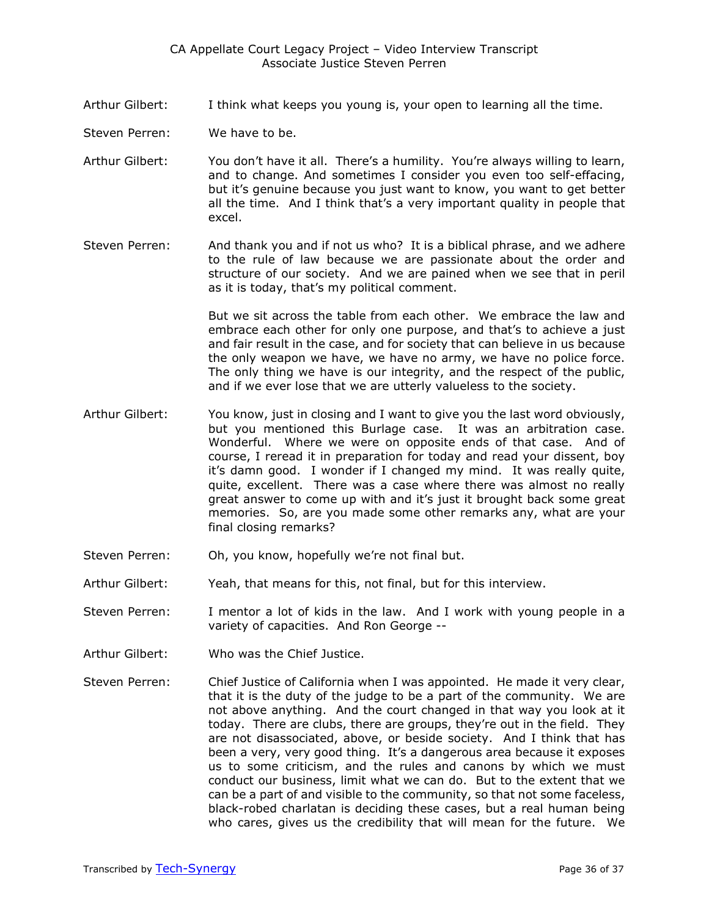- Arthur Gilbert: I think what keeps you young is, your open to learning all the time.
- Steven Perren: We have to be.
- Arthur Gilbert: You don't have it all. There's a humility. You're always willing to learn, and to change. And sometimes I consider you even too self-effacing, but it's genuine because you just want to know, you want to get better all the time. And I think that's a very important quality in people that excel.
- Steven Perren: And thank you and if not us who? It is a biblical phrase, and we adhere to the rule of law because we are passionate about the order and structure of our society. And we are pained when we see that in peril as it is today, that's my political comment.

But we sit across the table from each other. We embrace the law and embrace each other for only one purpose, and that's to achieve a just and fair result in the case, and for society that can believe in us because the only weapon we have, we have no army, we have no police force. The only thing we have is our integrity, and the respect of the public, and if we ever lose that we are utterly valueless to the society.

- Arthur Gilbert: You know, just in closing and I want to give you the last word obviously, but you mentioned this Burlage case. It was an arbitration case. Wonderful. Where we were on opposite ends of that case. And of course, I reread it in preparation for today and read your dissent, boy it's damn good. I wonder if I changed my mind. It was really quite, quite, excellent. There was a case where there was almost no really great answer to come up with and it's just it brought back some great memories. So, are you made some other remarks any, what are your final closing remarks?
- Steven Perren: Oh, you know, hopefully we're not final but.
- Arthur Gilbert: Yeah, that means for this, not final, but for this interview.
- Steven Perren: I mentor a lot of kids in the law. And I work with young people in a variety of capacities. And Ron George --
- Arthur Gilbert: Who was the Chief Justice.
- Steven Perren: Chief Justice of California when I was appointed. He made it very clear, that it is the duty of the judge to be a part of the community. We are not above anything. And the court changed in that way you look at it today. There are clubs, there are groups, they're out in the field. They are not disassociated, above, or beside society. And I think that has been a very, very good thing. It's a dangerous area because it exposes us to some criticism, and the rules and canons by which we must conduct our business, limit what we can do. But to the extent that we can be a part of and visible to the community, so that not some faceless, black-robed charlatan is deciding these cases, but a real human being who cares, gives us the credibility that will mean for the future. We